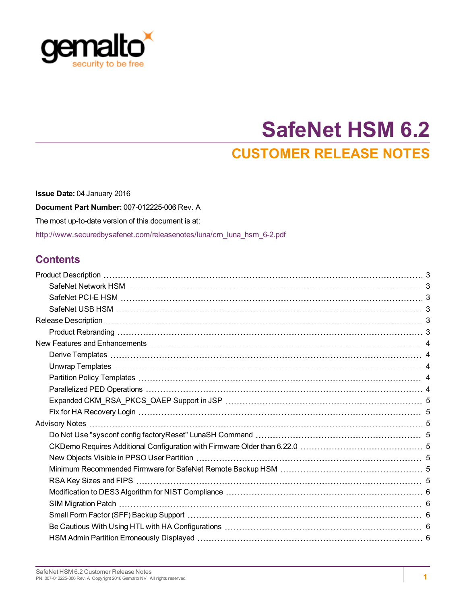

# **SafeNet HSM 6.2 CUSTOMER RELEASE NOTES**

**Issue Date:** 04 January 2016 **Document Part Number:** 007-012225-006 Rev. A The most up-to-date version of this document is at: [http://www.securedbysafenet.com/releasenotes/luna/crn\\_luna\\_hsm\\_6-2.pdf](http://www.securedbysafenet.com/releasenotes/luna/crn_luna_hsm_6-2.pdf)

#### **Contents**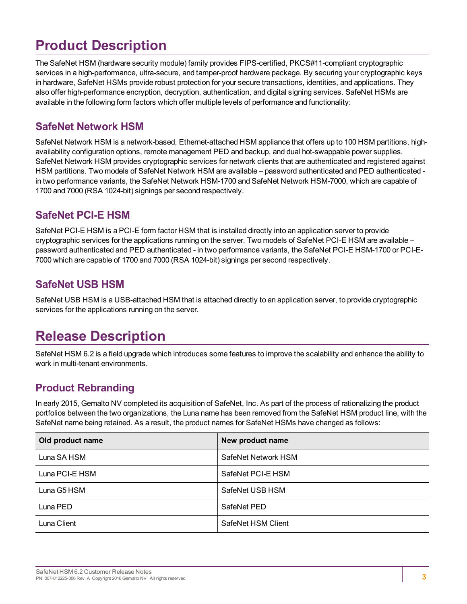## <span id="page-2-0"></span>**Product Description**

The SafeNet HSM (hardware security module) family provides FIPS-certified, PKCS#11-compliant cryptographic services in a high-performance, ultra-secure, and tamper-proof hardware package. By securing your cryptographic keys in hardware, SafeNet HSMs provide robust protection for your secure transactions, identities, and applications. They also offer high-performance encryption, decryption, authentication, and digital signing services. SafeNet HSMs are available in the following form factors which offer multiple levels of performance and functionality:

#### <span id="page-2-1"></span>**SafeNet Network HSM**

SafeNet Network HSM is a network-based, Ethernet-attached HSM appliance that offers up to 100 HSM partitions, highavailability configuration options, remote management PED and backup, and dual hot-swappable power supplies. SafeNet Network HSM provides cryptographic services for network clients that are authenticated and registered against HSM partitions. Two models of SafeNet Network HSM are available – password authenticated and PED authenticated in two performance variants, the SafeNet Network HSM-1700 and SafeNet Network HSM-7000, which are capable of 1700 and 7000 (RSA 1024-bit) signings per second respectively.

#### <span id="page-2-2"></span>**SafeNet PCI-E HSM**

SafeNet PCI-E HSM is a PCI-E form factor HSM that is installed directly into an application server to provide cryptographic services for the applications running on the server. Two models of SafeNet PCI-E HSM are available – password authenticated and PED authenticated - in two performance variants, the SafeNet PCI-E HSM-1700 or PCI-E-7000 which are capable of 1700 and 7000 (RSA 1024-bit) signings per second respectively.

#### <span id="page-2-3"></span>**SafeNet USB HSM**

<span id="page-2-4"></span>SafeNet USB HSM is a USB-attached HSM that is attached directly to an application server, to provide cryptographic services for the applications running on the server.

### **Release Description**

SafeNet HSM 6.2 is a field upgrade which introduces some features to improve the scalability and enhance the ability to work in multi-tenant environments.

#### <span id="page-2-5"></span>**Product Rebranding**

In early 2015, Gemalto NV completed its acquisition of SafeNet, Inc. As part of the process of rationalizing the product portfolios between the two organizations, the Luna name has been removed from the SafeNet HSM product line, with the SafeNet name being retained. As a result, the product names for SafeNet HSMs have changed as follows:

| Old product name | New product name    |
|------------------|---------------------|
| Luna SA HSM      | SafeNet Network HSM |
| Luna PCI-E HSM   | SafeNet PCI-E HSM   |
| Luna G5 HSM      | SafeNet USB HSM     |
| Luna PED         | SafeNet PED         |
| Luna Client      | SafeNet HSM Client  |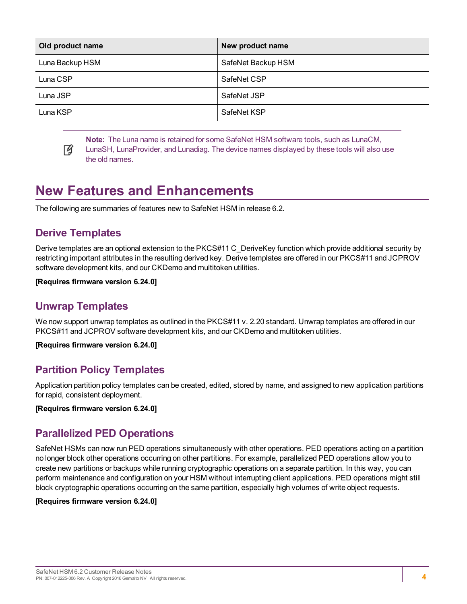| Old product name | New product name   |
|------------------|--------------------|
| Luna Backup HSM  | SafeNet Backup HSM |
| Luna CSP         | SafeNet CSP        |
| Luna JSP         | SafeNet JSP        |
| Luna KSP         | SafeNet KSP        |

**Note:** The Luna name is retained for some SafeNet HSM software tools, such as LunaCM,

冏 LunaSH, LunaProvider, and Lunadiag. The device names displayed by these tools will also use the old names.

### <span id="page-3-0"></span>**New Features and Enhancements**

<span id="page-3-1"></span>The following are summaries of features new to SafeNet HSM in release 6.2.

#### **Derive Templates**

Derive templates are an optional extension to the PKCS#11 C\_DeriveKey function which provide additional security by restricting important attributes in the resulting derived key. Derive templates are offered in our PKCS#11 and JCPROV software development kits, and our CKDemo and multitoken utilities.

#### <span id="page-3-2"></span>**[Requires firmware version 6.24.0]**

#### **Unwrap Templates**

We now support unwrap templates as outlined in the PKCS#11 v. 2.20 standard. Unwrap templates are offered in our PKCS#11 and JCPROV software development kits, and our CKDemo and multitoken utilities.

<span id="page-3-3"></span>**[Requires firmware version 6.24.0]**

#### **Partition Policy Templates**

Application partition policy templates can be created, edited, stored by name, and assigned to new application partitions for rapid, consistent deployment.

<span id="page-3-4"></span>**[Requires firmware version 6.24.0]**

#### **Parallelized PED Operations**

SafeNet HSMs can now run PED operations simultaneously with other operations. PED operations acting on a partition no longer block other operations occurring on other partitions. For example, parallelized PED operations allow you to create new partitions or backups while running cryptographic operations on a separate partition. In this way, you can perform maintenance and configuration on your HSM without interrupting client applications. PED operations might still block cryptographic operations occurring on the same partition, especially high volumes of write object requests.

#### **[Requires firmware version 6.24.0]**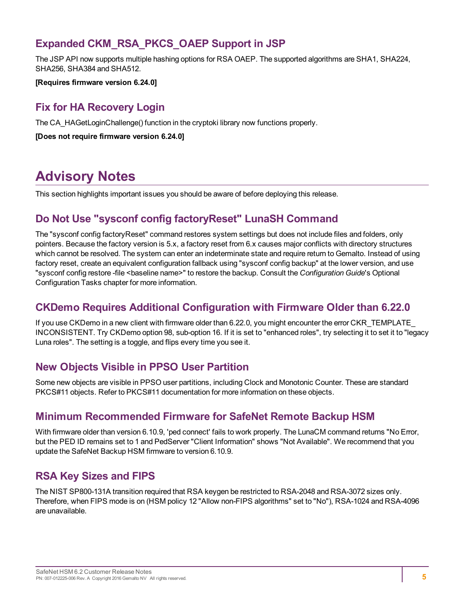#### <span id="page-4-0"></span>**Expanded CKM\_RSA\_PKCS\_OAEP Support in JSP**

The JSP API now supports multiple hashing options for RSA OAEP. The supported algorithms are SHA1, SHA224, SHA256, SHA384 and SHA512.

<span id="page-4-1"></span>**[Requires firmware version 6.24.0]**

#### **Fix for HA Recovery Login**

The CA\_HAGetLoginChallenge() function in the cryptoki library now functions properly.

**[Does not require firmware version 6.24.0]**

### <span id="page-4-2"></span>**Advisory Notes**

<span id="page-4-3"></span>This section highlights important issues you should be aware of before deploying this release.

#### **Do Not Use "sysconf config factoryReset" LunaSH Command**

The "sysconf config factoryReset" command restores system settings but does not include files and folders, only pointers. Because the factory version is 5.x, a factory reset from 6.x causes major conflicts with directory structures which cannot be resolved. The system can enter an indeterminate state and require return to Gemalto. Instead of using factory reset, create an equivalent configuration fallback using "sysconf config backup" at the lower version, and use "sysconf config restore -file <baseline name>" to restore the backup. Consult the *Configuration Guide*'s Optional Configuration Tasks chapter for more information.

#### <span id="page-4-4"></span>**CKDemo Requires Additional Configuration with Firmware Older than 6.22.0**

If you use CKDemo in a new client with firmware older than 6.22.0, you might encounter the error CKR\_TEMPLATE\_ INCONSISTENT. Try CKDemo option 98, sub-option 16. If it is set to "enhanced roles", try selecting it to set it to "legacy Luna roles". The setting is a toggle, and flips every time you see it.

#### <span id="page-4-5"></span>**New Objects Visible in PPSO User Partition**

Some new objects are visible in PPSO user partitions, including Clock and Monotonic Counter. These are standard PKCS#11 objects. Refer to PKCS#11 documentation for more information on these objects.

#### <span id="page-4-6"></span>**Minimum Recommended Firmware for SafeNet Remote Backup HSM**

With firmware older than version 6.10.9, 'ped connect' fails to work properly. The LunaCM command returns "No Error, but the PED ID remains set to 1 and PedServer "Client Information" shows "Not Available". We recommend that you update the SafeNet Backup HSM firmware to version 6.10.9.

#### <span id="page-4-7"></span>**RSA Key Sizes and FIPS**

The NIST SP800-131A transition required that RSA keygen be restricted to RSA-2048 and RSA-3072 sizes only. Therefore, when FIPS mode is on (HSM policy 12 "Allow non-FIPS algorithms" set to "No"), RSA-1024 and RSA-4096 are unavailable.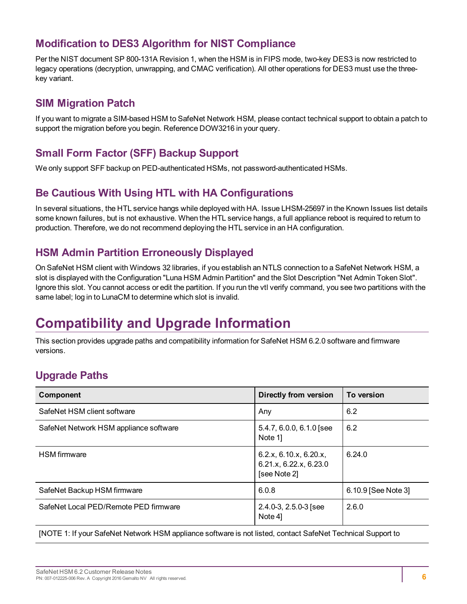#### <span id="page-5-0"></span>**Modification to DES3 Algorithm for NIST Compliance**

Per the NIST document SP 800-131A Revision 1, when the HSM is in FIPS mode, two-key DES3 is now restricted to legacy operations (decryption, unwrapping, and CMAC verification). All other operations for DES3 must use the threekey variant.

#### <span id="page-5-1"></span>**SIM Migration Patch**

If you want to migrate a SIM-based HSM to SafeNet Network HSM, please contact technical support to obtain a patch to support the migration before you begin. Reference DOW3216 in your query.

#### <span id="page-5-2"></span>**Small Form Factor (SFF) Backup Support**

<span id="page-5-3"></span>We only support SFF backup on PED-authenticated HSMs, not password-authenticated HSMs.

#### **Be Cautious With Using HTL with HA Configurations**

In several situations, the HTL service hangs while deployed with HA. Issue LHSM-25697 in the Known Issues list details some known failures, but is not exhaustive. When the HTL service hangs, a full appliance reboot is required to return to production. Therefore, we do not recommend deploying the HTL service in an HA configuration.

#### <span id="page-5-4"></span>**HSM Admin Partition Erroneously Displayed**

On SafeNet HSM client with Windows 32 libraries, if you establish an NTLS connection to a SafeNet Network HSM, a slot is displayed with the Configuration "Luna HSM Admin Partition" and the Slot Description "Net Admin Token Slot". Ignore this slot. You cannot access or edit the partition. If you run the vtl verify command, you see two partitions with the same label; log in to LunaCM to determine which slot is invalid.

## <span id="page-5-5"></span>**Compatibility and Upgrade Information**

This section provides upgrade paths and compatibility information for SafeNet HSM 6.2.0 software and firmware versions.

### <span id="page-5-6"></span>**Upgrade Paths**

| Component                              | Directly from version                                            | To version          |
|----------------------------------------|------------------------------------------------------------------|---------------------|
| SafeNet HSM client software            | Any                                                              | 6.2                 |
| SafeNet Network HSM appliance software | $5.4.7, 6.0.0, 6.1.0$ [see<br>Note 1]                            | 6.2                 |
| <b>HSM</b> firmware                    | 6.2.x, 6.10.x, 6.20.x,<br>6.21.x, 6.22.x, 6.23.0<br>[see Note 2] | 6.24.0              |
| SafeNet Backup HSM firmware            | 6.0.8                                                            | 6.10.9 [See Note 3] |
| SafeNet Local PED/Remote PED firmware  | $2.4.0 - 3, 2.5.0 - 3$ [see<br>Note 41                           | 2.6.0               |

[NOTE 1: If your SafeNet Network HSM appliance software is not listed, contact SafeNet Technical Support to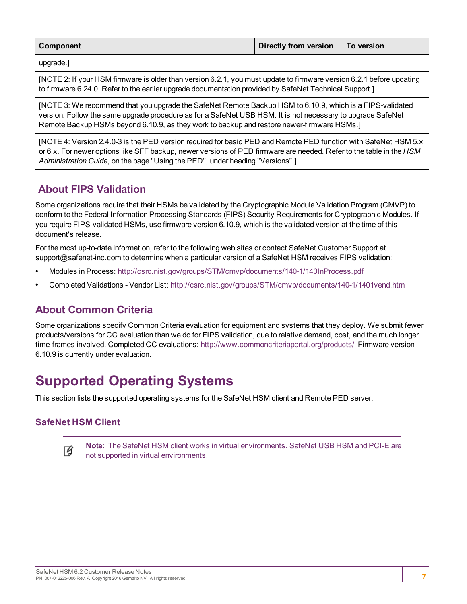| Component | Directly from version   To version |  |
|-----------|------------------------------------|--|
|           |                                    |  |

upgrade.]

[NOTE 2: If your HSM firmware is older than version 6.2.1, you must update to firmware version 6.2.1 before updating to firmware 6.24.0. Refer to the earlier upgrade documentation provided by SafeNet Technical Support.]

[NOTE 3: We recommend that you upgrade the SafeNet Remote Backup HSM to 6.10.9, which is a FIPS-validated version. Follow the same upgrade procedure as for a SafeNet USB HSM. It is not necessary to upgrade SafeNet Remote Backup HSMs beyond 6.10.9, as they work to backup and restore newer-firmware HSMs.]

[NOTE 4: Version 2.4.0-3 is the PED version required for basic PED and Remote PED function with SafeNet HSM 5.x or 6.x. For newer options like SFF backup, newer versions of PED firmware are needed. Refer to the table in the *HSM Administration Guide*, on the page "Using the PED", under heading "Versions".]

#### <span id="page-6-0"></span>**About FIPS Validation**

Some organizations require that their HSMs be validated by the Cryptographic Module Validation Program (CMVP) to conform to the Federal Information Processing Standards (FIPS) Security Requirements for Cryptographic Modules. If you require FIPS-validated HSMs, use firmware version 6.10.9, which is the validated version at the time of this document's release.

For the most up-to-date information, refer to the following web sites or contact SafeNet Customer Support at support@safenet-inc.com to determine when a particular version of a SafeNet HSM receives FIPS validation:

- **•** Modules in Process: <http://csrc.nist.gov/groups/STM/cmvp/documents/140-1/140InProcess.pdf>
- <span id="page-6-1"></span>**•** Completed Validations - Vendor List: <http://csrc.nist.gov/groups/STM/cmvp/documents/140-1/1401vend.htm>

#### **About Common Criteria**

Some organizations specify Common Criteria evaluation for equipment and systems that they deploy. We submit fewer products/versions for CC evaluation than we do for FIPS validation, due to relative demand, cost, and the much longer time-frames involved. Completed CC evaluations: <http://www.commoncriteriaportal.org/products/> Firmware version 6.10.9 is currently under evaluation.

### <span id="page-6-2"></span>**Supported Operating Systems**

This section lists the supported operating systems for the SafeNet HSM client and Remote PED server.

#### **SafeNet HSM Client**

**Note:** The SafeNet HSM client works in virtual environments. SafeNet USB HSM and PCI-E are 岡 not supported in virtual environments.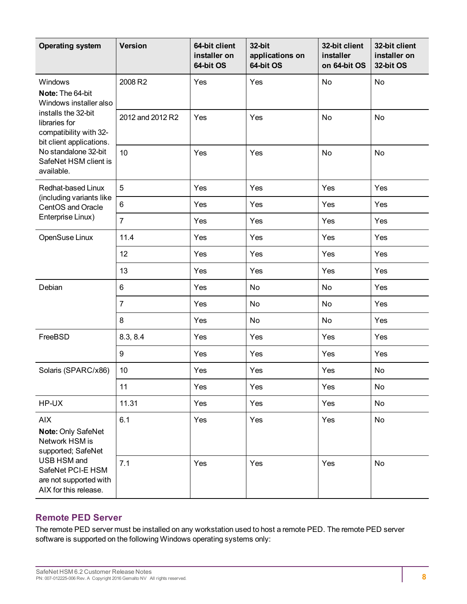| <b>Operating system</b>                                                                                                                                         | <b>Version</b>   | 64-bit client<br>installer on<br>64-bit OS | 32-bit<br>applications on<br>64-bit OS | 32-bit client<br>installer<br>on 64-bit OS | 32-bit client<br>installer on<br>32-bit OS |
|-----------------------------------------------------------------------------------------------------------------------------------------------------------------|------------------|--------------------------------------------|----------------------------------------|--------------------------------------------|--------------------------------------------|
| Windows<br>Note: The 64-bit<br>Windows installer also                                                                                                           | 2008 R2          | Yes                                        | Yes                                    | No                                         | No                                         |
| installs the 32-bit<br>libraries for<br>compatibility with 32-<br>bit client applications.                                                                      | 2012 and 2012 R2 | Yes                                        | Yes                                    | No                                         | No                                         |
| No standalone 32-bit<br>SafeNet HSM client is<br>available.                                                                                                     | 10               | Yes                                        | Yes                                    | No                                         | No                                         |
| Redhat-based Linux                                                                                                                                              | 5                | Yes                                        | Yes                                    | Yes                                        | Yes                                        |
| (including variants like<br>CentOS and Oracle                                                                                                                   | 6                | Yes                                        | Yes                                    | Yes                                        | Yes                                        |
| Enterprise Linux)                                                                                                                                               | $\overline{7}$   | Yes                                        | Yes                                    | Yes                                        | Yes                                        |
| OpenSuse Linux                                                                                                                                                  | 11.4             | Yes                                        | Yes                                    | Yes                                        | Yes                                        |
|                                                                                                                                                                 | 12               | Yes                                        | Yes                                    | Yes                                        | Yes                                        |
|                                                                                                                                                                 | 13               | Yes                                        | Yes                                    | Yes                                        | Yes                                        |
| Debian                                                                                                                                                          | 6                | Yes                                        | No                                     | No                                         | Yes                                        |
|                                                                                                                                                                 | $\overline{7}$   | Yes                                        | No                                     | No                                         | Yes                                        |
|                                                                                                                                                                 | 8                | Yes                                        | No                                     | <b>No</b>                                  | Yes                                        |
| FreeBSD                                                                                                                                                         | 8.3, 8.4         | Yes                                        | Yes                                    | Yes                                        | Yes                                        |
|                                                                                                                                                                 | $\boldsymbol{9}$ | Yes                                        | Yes                                    | Yes                                        | Yes                                        |
| Solaris (SPARC/x86)                                                                                                                                             | 10               | Yes                                        | Yes                                    | Yes                                        | No                                         |
|                                                                                                                                                                 | 11               | Yes                                        | Yes                                    | Yes                                        | No                                         |
| HP-UX                                                                                                                                                           | 11.31            | Yes                                        | Yes                                    | Yes                                        | No                                         |
| <b>AIX</b><br>Note: Only SafeNet<br>Network HSM is<br>supported; SafeNet<br>USB HSM and<br>SafeNet PCI-E HSM<br>are not supported with<br>AIX for this release. | 6.1              | Yes                                        | Yes                                    | Yes                                        | No                                         |
|                                                                                                                                                                 | 7.1              | Yes                                        | Yes                                    | Yes                                        | No                                         |

#### **Remote PED Server**

The remote PED server must be installed on any workstation used to host a remote PED. The remote PED server software is supported on the following Windows operating systems only: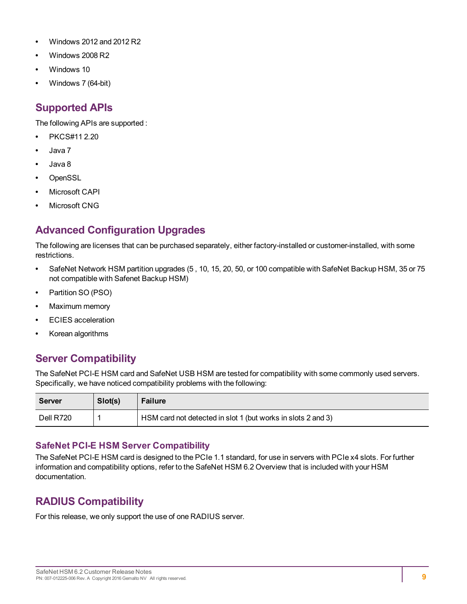- **•** Windows 2012 and 2012 R2
- **•** Windows 2008 R2
- **•** Windows 10
- <span id="page-8-0"></span>**•** Windows 7 (64-bit)

#### **Supported APIs**

The following APIs are supported :

- **•** PKCS#11 2.20
- **•** Java 7
- **•** Java 8
- **•** OpenSSL
- **•** Microsoft CAPI
- <span id="page-8-1"></span>**•** Microsoft CNG

### **Advanced Configuration Upgrades**

The following are licenses that can be purchased separately, either factory-installed or customer-installed, with some restrictions.

- **•** SafeNet Network HSM partition upgrades (5 , 10, 15, 20, 50, or 100 compatible with SafeNet Backup HSM, 35 or 75 not compatible with Safenet Backup HSM)
- **•** Partition SO (PSO)
- **•** Maximum memory
- **•** ECIES acceleration
- <span id="page-8-2"></span>**•** Korean algorithms

#### **Server Compatibility**

The SafeNet PCI-E HSM card and SafeNet USB HSM are tested for compatibility with some commonly used servers. Specifically, we have noticed compatibility problems with the following:

| Server    | Slot(s) | <b>Failure</b>                                               |
|-----------|---------|--------------------------------------------------------------|
| Dell R720 |         | HSM card not detected in slot 1 (but works in slots 2 and 3) |

#### **SafeNet PCI-E HSM Server Compatibility**

The SafeNet PCI-E HSM card is designed to the PCIe 1.1 standard, for use in servers with PCIe x4 slots. For further information and compatibility options, refer to the SafeNet HSM 6.2 Overview that is included with your HSM documentation.

#### <span id="page-8-3"></span>**RADIUS Compatibility**

For this release, we only support the use of one RADIUS server.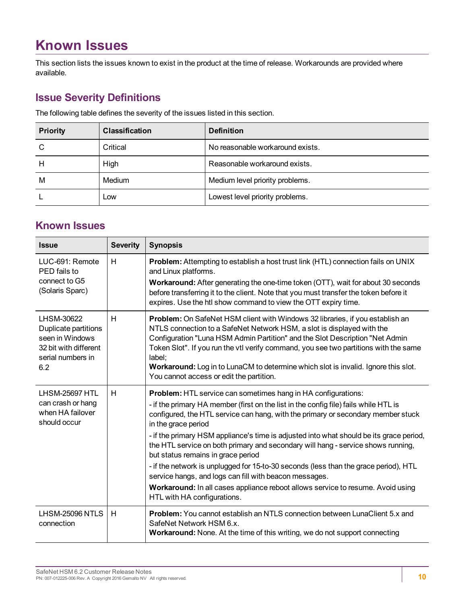## <span id="page-9-0"></span>**Known Issues**

This section lists the issues known to exist in the product at the time of release. Workarounds are provided where available.

#### <span id="page-9-1"></span>**Issue Severity Definitions**

The following table defines the severity of the issues listed in this section.

| <b>Priority</b> | <b>Classification</b> | <b>Definition</b>                |
|-----------------|-----------------------|----------------------------------|
| C               | Critical              | No reasonable workaround exists. |
| н               | High                  | Reasonable workaround exists.    |
| M               | Medium                | Medium level priority problems.  |
|                 | Low                   | Lowest level priority problems.  |

#### <span id="page-9-2"></span>**Known Issues**

| <b>Issue</b>                                                                                               | <b>Severity</b> | <b>Synopsis</b>                                                                                                                                                                                                                                                                                                                                                                                                                                                                                                                                                                                                                                                                                                                                                  |
|------------------------------------------------------------------------------------------------------------|-----------------|------------------------------------------------------------------------------------------------------------------------------------------------------------------------------------------------------------------------------------------------------------------------------------------------------------------------------------------------------------------------------------------------------------------------------------------------------------------------------------------------------------------------------------------------------------------------------------------------------------------------------------------------------------------------------------------------------------------------------------------------------------------|
| LUC-691: Remote<br>PED fails to<br>connect to G5<br>(Solaris Sparc)                                        | H               | Problem: Attempting to establish a host trust link (HTL) connection fails on UNIX<br>and Linux platforms.<br><b>Workaround:</b> After generating the one-time token (OTT), wait for about 30 seconds<br>before transferring it to the client. Note that you must transfer the token before it<br>expires. Use the htl show command to view the OTT expiry time.                                                                                                                                                                                                                                                                                                                                                                                                  |
| LHSM-30622<br>Duplicate partitions<br>seen in Windows<br>32 bit with different<br>serial numbers in<br>6.2 | H               | Problem: On SafeNet HSM client with Windows 32 libraries, if you establish an<br>NTLS connection to a SafeNet Network HSM, a slot is displayed with the<br>Configuration "Luna HSM Admin Partition" and the Slot Description "Net Admin<br>Token Slot". If you run the vtl verify command, you see two partitions with the same<br>label;<br>Workaround: Log in to LunaCM to determine which slot is invalid. Ignore this slot.<br>You cannot access or edit the partition.                                                                                                                                                                                                                                                                                      |
| <b>LHSM-25697 HTL</b><br>can crash or hang<br>when HA failover<br>should occur                             | H               | <b>Problem:</b> HTL service can sometimes hang in HA configurations:<br>- if the primary HA member (first on the list in the config file) fails while HTL is<br>configured, the HTL service can hang, with the primary or secondary member stuck<br>in the grace period<br>- if the primary HSM appliance's time is adjusted into what should be its grace period,<br>the HTL service on both primary and secondary will hang - service shows running,<br>but status remains in grace period<br>- if the network is unplugged for 15-to-30 seconds (less than the grace period), HTL<br>service hangs, and logs can fill with beacon messages.<br>Workaround: In all cases appliance reboot allows service to resume. Avoid using<br>HTL with HA configurations. |
| LHSM-25096 NTLS<br>connection                                                                              | H               | Problem: You cannot establish an NTLS connection between LunaClient 5.x and<br>SafeNet Network HSM 6.x.<br>Workaround: None. At the time of this writing, we do not support connecting                                                                                                                                                                                                                                                                                                                                                                                                                                                                                                                                                                           |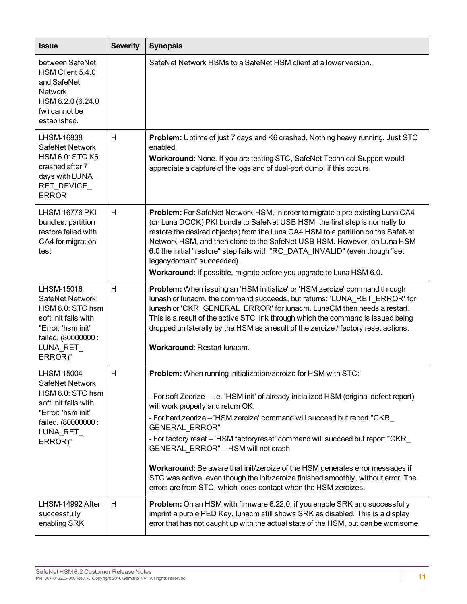| <b>Issue</b>                                                                                                                                  | <b>Severity</b> | <b>Synopsis</b>                                                                                                                                                                                                                                                                                                                                                                                                                                                                                                                                                                                                                                                        |
|-----------------------------------------------------------------------------------------------------------------------------------------------|-----------------|------------------------------------------------------------------------------------------------------------------------------------------------------------------------------------------------------------------------------------------------------------------------------------------------------------------------------------------------------------------------------------------------------------------------------------------------------------------------------------------------------------------------------------------------------------------------------------------------------------------------------------------------------------------------|
| between SafeNet<br>HSM Client 5.4.0<br>and SafeNet<br><b>Network</b><br>HSM 6.2.0 (6.24.0<br>fw) cannot be<br>established.                    |                 | SafeNet Network HSMs to a SafeNet HSM client at a lower version.                                                                                                                                                                                                                                                                                                                                                                                                                                                                                                                                                                                                       |
| LHSM-16838<br>SafeNet Network<br><b>HSM 6.0: STC K6</b><br>crashed after 7<br>days with LUNA_<br>RET_DEVICE_<br><b>ERROR</b>                  | H               | Problem: Uptime of just 7 days and K6 crashed. Nothing heavy running. Just STC<br>enabled.<br>Workaround: None. If you are testing STC, SafeNet Technical Support would<br>appreciate a capture of the logs and of dual-port dump, if this occurs.                                                                                                                                                                                                                                                                                                                                                                                                                     |
| <b>LHSM-16776 PKI</b><br>bundles: partition<br>restore failed with<br>CA4 for migration<br>test                                               | H               | Problem: For SafeNet Network HSM, in order to migrate a pre-existing Luna CA4<br>(on Luna DOCK) PKI bundle to SafeNet USB HSM, the first step is normally to<br>restore the desired object(s) from the Luna CA4 HSM to a partition on the SafeNet<br>Network HSM, and then clone to the SafeNet USB HSM. However, on Luna HSM<br>6.0 the initial "restore" step fails with "RC_DATA_INVALID" (even though "set<br>legacydomain" succeeded).<br>Workaround: If possible, migrate before you upgrade to Luna HSM 6.0.                                                                                                                                                    |
| LHSM-15016<br>SafeNet Network<br>HSM 6.0: STC hsm<br>soft init fails with<br>"Error: 'hsm init'<br>failed. (80000000:<br>LUNA_RET_<br>ERROR)" | H               | Problem: When issuing an 'HSM initialize' or 'HSM zeroize' command through<br>lunash or lunacm, the command succeeds, but returns: 'LUNA_RET_ERROR' for<br>lunash or 'CKR_GENERAL_ERROR' for lunacm. LunaCM then needs a restart.<br>This is a result of the active STC link through which the command is issued being<br>dropped unilaterally by the HSM as a result of the zeroize / factory reset actions.<br>Workaround: Restart lunacm.                                                                                                                                                                                                                           |
| LHSM-15004<br>SafeNet Network<br>HSM 6.0: STC hsm<br>soft init fails with<br>"Error: 'hsm init'<br>failed. (80000000:<br>LUNA_RET_<br>ERROR)" | H               | <b>Problem:</b> When running initialization/zeroize for HSM with STC:<br>- For soft Zeorize - i.e. 'HSM init' of already initialized HSM (original defect report)<br>will work properly and return OK.<br>- For hard zeorize - 'HSM zeroize' command will succeed but report "CKR<br>GENERAL_ERROR"<br>- For factory reset - 'HSM factoryreset' command will succeed but report "CKR_<br>GENERAL_ERROR" - HSM will not crash<br>Workaround: Be aware that init/zeroize of the HSM generates error messages if<br>STC was active, even though the init/zeroize finished smoothly, without error. The<br>errors are from STC, which loses contact when the HSM zeroizes. |
| LHSM-14992 After<br>successfully<br>enabling SRK                                                                                              | H               | <b>Problem:</b> On an HSM with firmware 6.22.0, if you enable SRK and successfully<br>imprint a purple PED Key, lunacm still shows SRK as disabled. This is a display<br>error that has not caught up with the actual state of the HSM, but can be worrisome                                                                                                                                                                                                                                                                                                                                                                                                           |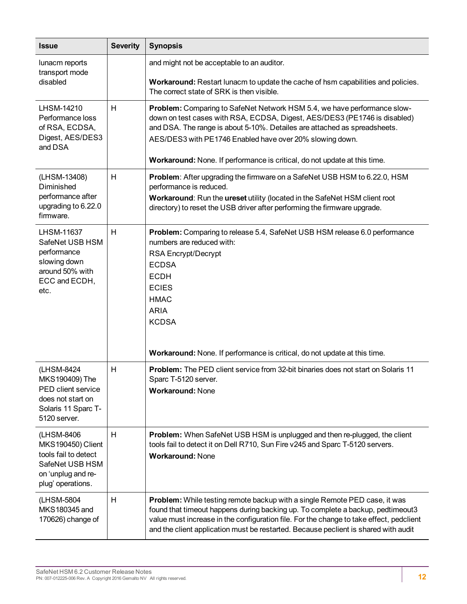| <b>Issue</b>                                                                                                                  | <b>Severity</b> | <b>Synopsis</b>                                                                                                                                                                                                                                                                                                                                                             |
|-------------------------------------------------------------------------------------------------------------------------------|-----------------|-----------------------------------------------------------------------------------------------------------------------------------------------------------------------------------------------------------------------------------------------------------------------------------------------------------------------------------------------------------------------------|
| lunacm reports<br>transport mode<br>disabled                                                                                  |                 | and might not be acceptable to an auditor.<br>Workaround: Restart lunacm to update the cache of hsm capabilities and policies.<br>The correct state of SRK is then visible.                                                                                                                                                                                                 |
| LHSM-14210<br>Performance loss<br>of RSA, ECDSA,<br>Digest, AES/DES3<br>and DSA                                               | H               | Problem: Comparing to SafeNet Network HSM 5.4, we have performance slow-<br>down on test cases with RSA, ECDSA, Digest, AES/DES3 (PE1746 is disabled)<br>and DSA. The range is about 5-10%. Detailes are attached as spreadsheets.<br>AES/DES3 with PE1746 Enabled have over 20% slowing down.<br>Workaround: None. If performance is critical, do not update at this time. |
| (LHSM-13408)<br>Diminished<br>performance after<br>upgrading to 6.22.0<br>firmware.                                           | H               | Problem: After upgrading the firmware on a SafeNet USB HSM to 6.22.0, HSM<br>performance is reduced.<br>Workaround: Run the ureset utility (located in the SafeNet HSM client root<br>directory) to reset the USB driver after performing the firmware upgrade.                                                                                                             |
| LHSM-11637<br>SafeNet USB HSM<br>performance<br>slowing down<br>around 50% with<br>ECC and ECDH,<br>etc.                      | H               | Problem: Comparing to release 5.4, SafeNet USB HSM release 6.0 performance<br>numbers are reduced with:<br>RSA Encrypt/Decrypt<br><b>ECDSA</b><br><b>ECDH</b><br><b>ECIES</b><br><b>HMAC</b><br><b>ARIA</b><br><b>KCDSA</b><br>Workaround: None. If performance is critical, do not update at this time.                                                                    |
| (LHSM-8424<br>MKS190409) The<br>PED client service<br>does not start on<br>Solaris 11 Sparc T-<br>5120 server.                | H               | <b>Problem:</b> The PED client service from 32-bit binaries does not start on Solaris 11<br>Sparc T-5120 server.<br><b>Workaround: None</b>                                                                                                                                                                                                                                 |
| (LHSM-8406)<br><b>MKS190450) Client</b><br>tools fail to detect<br>SafeNet USB HSM<br>on 'unplug and re-<br>plug' operations. | H               | Problem: When SafeNet USB HSM is unplugged and then re-plugged, the client<br>tools fail to detect it on Dell R710, Sun Fire v245 and Sparc T-5120 servers.<br><b>Workaround: None</b>                                                                                                                                                                                      |
| (LHSM-5804<br>MKS180345 and<br>170626) change of                                                                              | Н               | Problem: While testing remote backup with a single Remote PED case, it was<br>found that timeout happens during backing up. To complete a backup, pedtimeout3<br>value must increase in the configuration file. For the change to take effect, pedclient<br>and the client application must be restarted. Because peclient is shared with audit                             |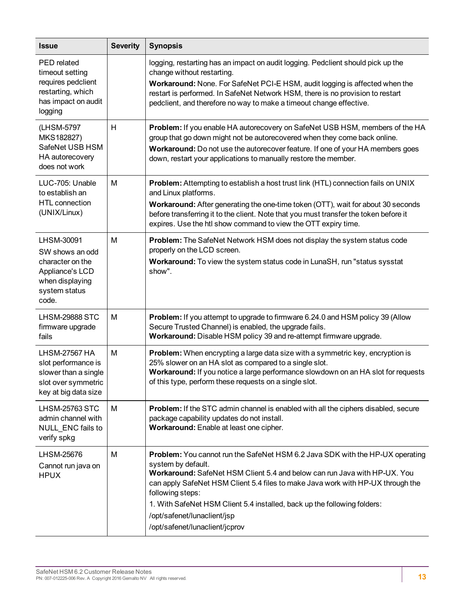| <b>Issue</b>                                                                                                       | <b>Severity</b> | <b>Synopsis</b>                                                                                                                                                                                                                                                                                                                                                                                                                      |
|--------------------------------------------------------------------------------------------------------------------|-----------------|--------------------------------------------------------------------------------------------------------------------------------------------------------------------------------------------------------------------------------------------------------------------------------------------------------------------------------------------------------------------------------------------------------------------------------------|
| PED related<br>timeout setting<br>requires pedclient<br>restarting, which<br>has impact on audit<br>logging        |                 | logging, restarting has an impact on audit logging. Pedclient should pick up the<br>change without restarting.<br>Workaround: None. For SafeNet PCI-E HSM, audit logging is affected when the<br>restart is performed. In SafeNet Network HSM, there is no provision to restart<br>pedclient, and therefore no way to make a timeout change effective.                                                                               |
| (LHSM-5797)<br>MKS182827)<br>SafeNet USB HSM<br>HA autorecovery<br>does not work                                   | H               | Problem: If you enable HA autorecovery on SafeNet USB HSM, members of the HA<br>group that go down might not be autorecovered when they come back online.<br>Workaround: Do not use the autorecover feature. If one of your HA members goes<br>down, restart your applications to manually restore the member.                                                                                                                       |
| LUC-705: Unable<br>to establish an<br>HTL connection<br>(UNIX/Linux)                                               | M               | Problem: Attempting to establish a host trust link (HTL) connection fails on UNIX<br>and Linux platforms.<br>Workaround: After generating the one-time token (OTT), wait for about 30 seconds<br>before transferring it to the client. Note that you must transfer the token before it<br>expires. Use the htl show command to view the OTT expiry time.                                                                             |
| LHSM-30091<br>SW shows an odd<br>character on the<br>Appliance's LCD<br>when displaying<br>system status<br>code.  | M               | Problem: The SafeNet Network HSM does not display the system status code<br>properly on the LCD screen.<br>Workaround: To view the system status code in LunaSH, run "status sysstat<br>show".                                                                                                                                                                                                                                       |
| <b>LHSM-29888 STC</b><br>firmware upgrade<br>fails                                                                 | M               | Problem: If you attempt to upgrade to firmware 6.24.0 and HSM policy 39 (Allow<br>Secure Trusted Channel) is enabled, the upgrade fails.<br>Workaround: Disable HSM policy 39 and re-attempt firmware upgrade.                                                                                                                                                                                                                       |
| <b>LHSM-27567 HA</b><br>slot performance is<br>slower than a single<br>slot over symmetric<br>key at big data size | M               | <b>Problem:</b> When encrypting a large data size with a symmetric key, encryption is<br>25% slower on an HA slot as compared to a single slot.<br>Workaround: If you notice a large performance slowdown on an HA slot for requests<br>of this type, perform these requests on a single slot.                                                                                                                                       |
| <b>LHSM-25763 STC</b><br>admin channel with<br>NULL_ENC fails to<br>verify spkg                                    | M               | <b>Problem:</b> If the STC admin channel is enabled with all the ciphers disabled, secure<br>package capability updates do not install.<br>Workaround: Enable at least one cipher.                                                                                                                                                                                                                                                   |
| LHSM-25676<br>Cannot run java on<br><b>HPUX</b>                                                                    | M               | Problem: You cannot run the SafeNet HSM 6.2 Java SDK with the HP-UX operating<br>system by default.<br>Workaround: SafeNet HSM Client 5.4 and below can run Java with HP-UX. You<br>can apply SafeNet HSM Client 5.4 files to make Java work with HP-UX through the<br>following steps:<br>1. With SafeNet HSM Client 5.4 installed, back up the following folders:<br>/opt/safenet/lunaclient/jsp<br>/opt/safenet/lunaclient/jcprov |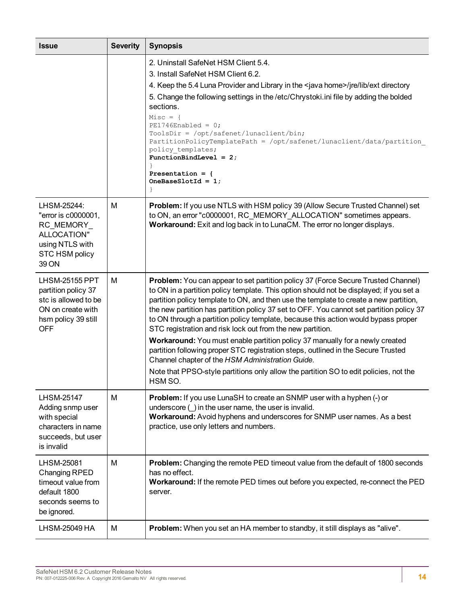| <b>Issue</b>                                                                                                                   | <b>Severity</b> | <b>Synopsis</b>                                                                                                                                                                                                                                                                                                                                                                                                                                                                                                                                                                                                                                                                                                                                                                                                                                    |
|--------------------------------------------------------------------------------------------------------------------------------|-----------------|----------------------------------------------------------------------------------------------------------------------------------------------------------------------------------------------------------------------------------------------------------------------------------------------------------------------------------------------------------------------------------------------------------------------------------------------------------------------------------------------------------------------------------------------------------------------------------------------------------------------------------------------------------------------------------------------------------------------------------------------------------------------------------------------------------------------------------------------------|
|                                                                                                                                |                 | 2. Uninstall SafeNet HSM Client 5.4.<br>3. Install SafeNet HSM Client 6.2.<br>4. Keep the 5.4 Luna Provider and Library in the <java home="">/jre/lib/ext directory<br/>5. Change the following settings in the /etc/Chrystoki.ini file by adding the bolded<br/>sections.<br/><math>Miss = \{</math><br/><math>PE1746</math>Enabled = 0;<br/>ToolsDir = /opt/safenet/lunaclient/bin;<br/>PartitionPolicyTemplatePath = /opt/safenet/lunaclient/data/partition<br/>policy templates;<br/>FunctionBindLevel = <math>2</math>;<br/>Presentation = <math>\{</math><br/>OneBaseSlotId = <math>1</math>;</java>                                                                                                                                                                                                                                         |
| LHSM-25244:<br>"error is c0000001,<br>RC MEMORY<br>ALLOCATION"<br>using NTLS with<br>STC HSM policy<br>39 ON                   | М               | Problem: If you use NTLS with HSM policy 39 (Allow Secure Trusted Channel) set<br>to ON, an error "c0000001, RC_MEMORY_ALLOCATION" sometimes appears.<br>Workaround: Exit and log back in to LunaCM. The error no longer displays.                                                                                                                                                                                                                                                                                                                                                                                                                                                                                                                                                                                                                 |
| <b>LHSM-25155 PPT</b><br>partition policy 37<br>stc is allowed to be<br>ON on create with<br>hsm policy 39 still<br><b>OFF</b> | M               | Problem: You can appear to set partition policy 37 (Force Secure Trusted Channel)<br>to ON in a partition policy template. This option should not be displayed; if you set a<br>partition policy template to ON, and then use the template to create a new partition,<br>the new partition has partition policy 37 set to OFF. You cannot set partition policy 37<br>to ON through a partition policy template, because this action would bypass proper<br>STC registration and risk lock out from the new partition.<br>Workaround: You must enable partition policy 37 manually for a newly created<br>partition following proper STC registration steps, outlined in the Secure Trusted<br>Channel chapter of the HSM Administration Guide.<br>Note that PPSO-style partitions only allow the partition SO to edit policies, not the<br>HSM SO. |
| <b>LHSM-25147</b><br>Adding snmp user<br>with special<br>characters in name<br>succeeds, but user<br>is invalid                | M               | <b>Problem:</b> If you use LunaSH to create an SNMP user with a hyphen (-) or<br>underscore $($ in the user name, the user is invalid.<br>Workaround: Avoid hyphens and underscores for SNMP user names. As a best<br>practice, use only letters and numbers.                                                                                                                                                                                                                                                                                                                                                                                                                                                                                                                                                                                      |
| LHSM-25081<br>Changing RPED<br>timeout value from<br>default 1800<br>seconds seems to<br>be ignored.                           | M               | <b>Problem:</b> Changing the remote PED timeout value from the default of 1800 seconds<br>has no effect.<br>Workaround: If the remote PED times out before you expected, re-connect the PED<br>server.                                                                                                                                                                                                                                                                                                                                                                                                                                                                                                                                                                                                                                             |
| LHSM-25049 HA                                                                                                                  | M               | Problem: When you set an HA member to standby, it still displays as "alive".                                                                                                                                                                                                                                                                                                                                                                                                                                                                                                                                                                                                                                                                                                                                                                       |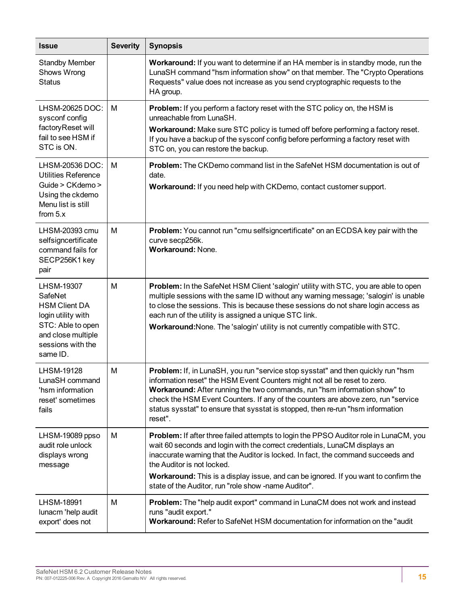| <b>Issue</b>                                                                                                                                    | <b>Severity</b> | <b>Synopsis</b>                                                                                                                                                                                                                                                                                                                                                                                                                                    |
|-------------------------------------------------------------------------------------------------------------------------------------------------|-----------------|----------------------------------------------------------------------------------------------------------------------------------------------------------------------------------------------------------------------------------------------------------------------------------------------------------------------------------------------------------------------------------------------------------------------------------------------------|
| <b>Standby Member</b><br>Shows Wrong<br><b>Status</b>                                                                                           |                 | Workaround: If you want to determine if an HA member is in standby mode, run the<br>LunaSH command "hsm information show" on that member. The "Crypto Operations<br>Requests" value does not increase as you send cryptographic requests to the<br>HA group.                                                                                                                                                                                       |
| LHSM-20625 DOC:<br>sysconf config<br>factoryReset will<br>fail to see HSM if<br>STC is ON.                                                      | M               | Problem: If you perform a factory reset with the STC policy on, the HSM is<br>unreachable from LunaSH.<br>Workaround: Make sure STC policy is turned off before performing a factory reset.<br>If you have a backup of the sysconf config before performing a factory reset with<br>STC on, you can restore the backup.                                                                                                                            |
| LHSM-20536 DOC:<br><b>Utilities Reference</b><br>Guide > CKdemo ><br>Using the ckdemo<br>Menu list is still<br>from $5.x$                       | M               | <b>Problem:</b> The CKDemo command list in the SafeNet HSM documentation is out of<br>date.<br>Workaround: If you need help with CKDemo, contact customer support.                                                                                                                                                                                                                                                                                 |
| LHSM-20393 cmu<br>selfsigncertificate<br>command fails for<br>SECP256K1 key<br>pair                                                             | М               | Problem: You cannot run "cmu selfsigncertificate" on an ECDSA key pair with the<br>curve secp256k.<br><b>Workaround: None.</b>                                                                                                                                                                                                                                                                                                                     |
| LHSM-19307<br>SafeNet<br><b>HSM Client DA</b><br>login utility with<br>STC: Able to open<br>and close multiple<br>sessions with the<br>same ID. | M               | Problem: In the SafeNet HSM Client 'salogin' utility with STC, you are able to open<br>multiple sessions with the same ID without any warning message; 'salogin' is unable<br>to close the sessions. This is because these sessions do not share login access as<br>each run of the utility is assigned a unique STC link.<br>Workaround: None. The 'salogin' utility is not currently compatible with STC.                                        |
| LHSM-19128<br>LunaSH command<br>'hsm information<br>reset' sometimes<br>fails                                                                   | M               | Problem: If, in LunaSH, you run "service stop sysstat" and then quickly run "hsm<br>information reset" the HSM Event Counters might not all be reset to zero.<br>Workaround: After running the two commands, run "hsm information show" to<br>check the HSM Event Counters. If any of the counters are above zero, run "service<br>status sysstat" to ensure that sysstat is stopped, then re-run "hsm information<br>reset".                      |
| LHSM-19089 ppso<br>audit role unlock<br>displays wrong<br>message                                                                               | M               | <b>Problem:</b> If after three failed attempts to login the PPSO Auditor role in LunaCM, you<br>wait 60 seconds and login with the correct credentials, LunaCM displays an<br>inaccurate warning that the Auditor is locked. In fact, the command succeeds and<br>the Auditor is not locked.<br><b>Workaround:</b> This is a display issue, and can be ignored. If you want to confirm the<br>state of the Auditor, run "role show -name Auditor". |
| <b>LHSM-18991</b><br>lunacm 'help audit<br>export' does not                                                                                     | M               | Problem: The "help audit export" command in LunaCM does not work and instead<br>runs "audit export."<br>Workaround: Refer to SafeNet HSM documentation for information on the "audit"                                                                                                                                                                                                                                                              |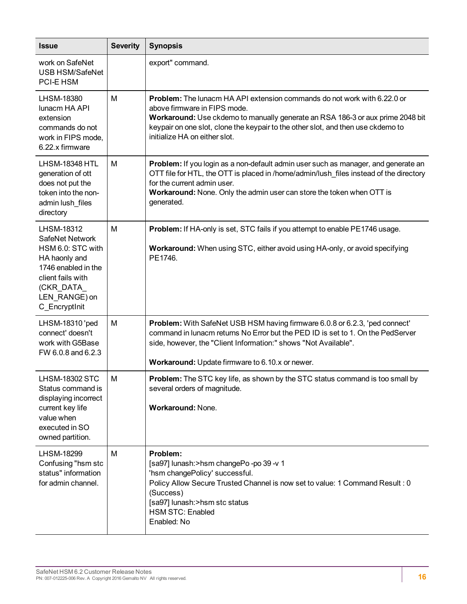| <b>Issue</b>                                                                                                                                                    | <b>Severity</b> | <b>Synopsis</b>                                                                                                                                                                                                                                                                                                        |
|-----------------------------------------------------------------------------------------------------------------------------------------------------------------|-----------------|------------------------------------------------------------------------------------------------------------------------------------------------------------------------------------------------------------------------------------------------------------------------------------------------------------------------|
| work on SafeNet<br><b>USB HSM/SafeNet</b><br><b>PCI-E HSM</b>                                                                                                   |                 | export" command.                                                                                                                                                                                                                                                                                                       |
| LHSM-18380<br>lunacm HA API<br>extension<br>commands do not<br>work in FIPS mode,<br>6.22.x firmware                                                            | M               | <b>Problem:</b> The lunacm HA API extension commands do not work with 6.22.0 or<br>above firmware in FIPS mode.<br>Workaround: Use ckdemo to manually generate an RSA 186-3 or aux prime 2048 bit<br>keypair on one slot, clone the keypair to the other slot, and then use ckdemo to<br>initialize HA on either slot. |
| <b>LHSM-18348 HTL</b><br>generation of ott<br>does not put the<br>token into the non-<br>admin lush_files<br>directory                                          | M               | Problem: If you login as a non-default admin user such as manager, and generate an<br>OTT file for HTL, the OTT is placed in /home/admin/lush_files instead of the directory<br>for the current admin user.<br>Workaround: None. Only the admin user can store the token when OTT is<br>generated.                     |
| LHSM-18312<br>SafeNet Network<br>HSM 6.0: STC with<br>HA haonly and<br>1746 enabled in the<br>client fails with<br>(CKR_DATA_<br>LEN_RANGE) on<br>C_EncryptInit | M               | Problem: If HA-only is set, STC fails if you attempt to enable PE1746 usage.<br>Workaround: When using STC, either avoid using HA-only, or avoid specifying<br>PE1746.                                                                                                                                                 |
| LHSM-18310 'ped<br>connect' doesn't<br>work with G5Base<br>FW 6.0.8 and 6.2.3                                                                                   | M               | Problem: With SafeNet USB HSM having firmware 6.0.8 or 6.2.3, 'ped connect'<br>command in lunacm returns No Error but the PED ID is set to 1. On the PedServer<br>side, however, the "Client Information:" shows "Not Available".<br>Workaround: Update firmware to 6.10.x or newer.                                   |
| <b>LHSM-18302 STC</b><br>Status command is<br>displaying incorrect<br>current key life<br>value when<br>executed in SO<br>owned partition.                      | М               | <b>Problem:</b> The STC key life, as shown by the STC status command is too small by<br>several orders of magnitude.<br>Workaround: None.                                                                                                                                                                              |
| LHSM-18299<br>Confusing "hsm stc<br>status" information<br>for admin channel.                                                                                   | M               | Problem:<br>[sa97] lunash: > hsm changePo - po 39 - v 1<br>'hsm changePolicy' successful.<br>Policy Allow Secure Trusted Channel is now set to value: 1 Command Result : 0<br>(Success)<br>[sa97] lunash:>hsm stc status<br><b>HSM STC: Enabled</b><br>Enabled: No                                                     |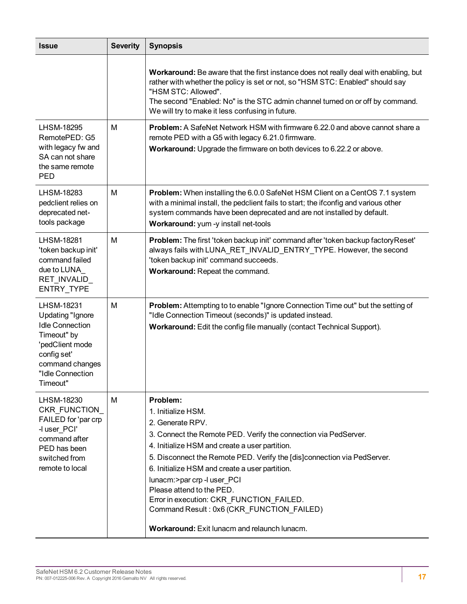| <b>Issue</b>                                                                                                                                                               | <b>Severity</b> | <b>Synopsis</b>                                                                                                                                                                                                                                                                                                                                                                                                                                                                                                   |
|----------------------------------------------------------------------------------------------------------------------------------------------------------------------------|-----------------|-------------------------------------------------------------------------------------------------------------------------------------------------------------------------------------------------------------------------------------------------------------------------------------------------------------------------------------------------------------------------------------------------------------------------------------------------------------------------------------------------------------------|
|                                                                                                                                                                            |                 | <b>Workaround:</b> Be aware that the first instance does not really deal with enabling, but<br>rather with whether the policy is set or not, so "HSM STC: Enabled" should say<br>"HSM STC: Allowed".<br>The second "Enabled: No" is the STC admin channel turned on or off by command.<br>We will try to make it less confusing in future.                                                                                                                                                                        |
| <b>LHSM-18295</b><br>RemotePED: G5<br>with legacy fw and<br>SA can not share<br>the same remote<br><b>PED</b>                                                              | М               | <b>Problem:</b> A SafeNet Network HSM with firmware 6.22.0 and above cannot share a<br>remote PED with a G5 with legacy 6.21.0 firmware.<br>Workaround: Upgrade the firmware on both devices to 6.22.2 or above.                                                                                                                                                                                                                                                                                                  |
| LHSM-18283<br>pedclient relies on<br>deprecated net-<br>tools package                                                                                                      | M               | <b>Problem:</b> When installing the 6.0.0 SafeNet HSM Client on a CentOS 7.1 system<br>with a minimal install, the pedclient fails to start; the ifconfig and various other<br>system commands have been deprecated and are not installed by default.<br>Workaround: yum -y install net-tools                                                                                                                                                                                                                     |
| <b>LHSM-18281</b><br>'token backup init'<br>command failed<br>due to LUNA<br>RET_INVALID_<br>ENTRY_TYPE                                                                    | M               | Problem: The first 'token backup init' command after 'token backup factory Reset'<br>always fails with LUNA_RET_INVALID_ENTRY_TYPE. However, the second<br>'token backup init' command succeeds.<br>Workaround: Repeat the command.                                                                                                                                                                                                                                                                               |
| <b>LHSM-18231</b><br><b>Updating "Ignore</b><br><b>Idle Connection</b><br>Timeout" by<br>'pedClient mode<br>config set'<br>command changes<br>"Idle Connection<br>Timeout" | M               | Problem: Attempting to to enable "Ignore Connection Time out" but the setting of<br>"Idle Connection Timeout (seconds)" is updated instead.<br>Workaround: Edit the config file manually (contact Technical Support).                                                                                                                                                                                                                                                                                             |
| LHSM-18230<br>CKR FUNCTION<br>FAILED for 'par crp<br>-I user_PCI'<br>command after<br>PED has been<br>switched from<br>remote to local                                     | М               | Problem:<br>1. Initialize HSM.<br>2. Generate RPV.<br>3. Connect the Remote PED. Verify the connection via PedServer.<br>4. Initialize HSM and create a user partition.<br>5. Disconnect the Remote PED. Verify the [dis] connection via PedServer.<br>6. Initialize HSM and create a user partition.<br>lunacm:>par crp -l user_PCI<br>Please attend to the PED.<br>Error in execution: CKR_FUNCTION FAILED.<br>Command Result: 0x6 (CKR_FUNCTION_FAILED)<br><b>Workaround:</b> Exit lunacm and relaunch lunacm. |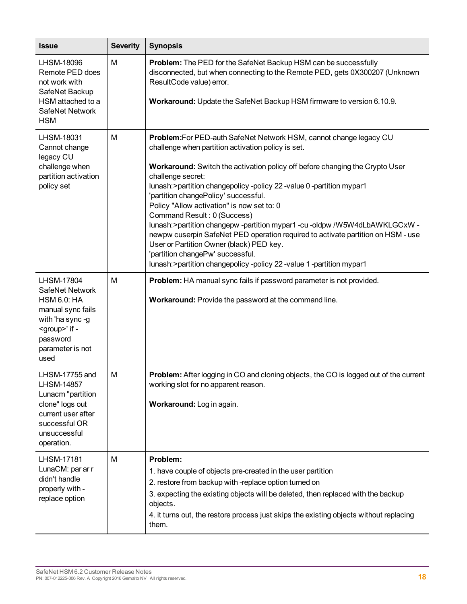| <b>Issue</b>                                                                                                                                                    | <b>Severity</b> | <b>Synopsis</b>                                                                                                                                                                                                                                                                                                                                                                                                                                                                                                                                                                                                                                                                                                                                                      |
|-----------------------------------------------------------------------------------------------------------------------------------------------------------------|-----------------|----------------------------------------------------------------------------------------------------------------------------------------------------------------------------------------------------------------------------------------------------------------------------------------------------------------------------------------------------------------------------------------------------------------------------------------------------------------------------------------------------------------------------------------------------------------------------------------------------------------------------------------------------------------------------------------------------------------------------------------------------------------------|
| LHSM-18096<br>Remote PED does<br>not work with<br>SafeNet Backup<br>HSM attached to a<br>SafeNet Network                                                        | M               | Problem: The PED for the SafeNet Backup HSM can be successfully<br>disconnected, but when connecting to the Remote PED, gets 0X300207 (Unknown<br>ResultCode value) error.<br>Workaround: Update the SafeNet Backup HSM firmware to version 6.10.9.                                                                                                                                                                                                                                                                                                                                                                                                                                                                                                                  |
| <b>HSM</b><br>LHSM-18031<br>Cannot change<br>legacy CU<br>challenge when<br>partition activation<br>policy set                                                  | M               | Problem: For PED-auth SafeNet Network HSM, cannot change legacy CU<br>challenge when partition activation policy is set.<br>Workaround: Switch the activation policy off before changing the Crypto User<br>challenge secret:<br>lunash: > partition changepolicy - policy 22 - value 0 - partition mypar1<br>'partition changePolicy' successful.<br>Policy "Allow activation" is now set to: 0<br>Command Result: 0 (Success)<br>lunash: > partition changepw - partition mypar1 - cu - oldpw / W5W4dLbAWKLGCxW -<br>newpw cuserpin SafeNet PED operation required to activate partition on HSM - use<br>User or Partition Owner (black) PED key.<br>'partition changePw' successful.<br>lunash: > partition changepolicy - policy 22 - value 1 - partition mypar1 |
| LHSM-17804<br>SafeNet Network<br><b>HSM 6.0: HA</b><br>manual sync fails<br>with 'ha sync-g<br><group>' if -<br/>password<br/>parameter is not<br/>used</group> | M               | Problem: HA manual sync fails if password parameter is not provided.<br>Workaround: Provide the password at the command line.                                                                                                                                                                                                                                                                                                                                                                                                                                                                                                                                                                                                                                        |
| LHSM-17755 and<br><b>LHSM-14857</b><br>Lunacm "partition<br>clone" logs out<br>current user after<br>successful OR<br>unsuccessful<br>operation.                | M               | Problem: After logging in CO and cloning objects, the CO is logged out of the current<br>working slot for no apparent reason.<br>Workaround: Log in again.                                                                                                                                                                                                                                                                                                                                                                                                                                                                                                                                                                                                           |
| <b>LHSM-17181</b><br>LunaCM: par ar r<br>didn't handle<br>properly with -<br>replace option                                                                     | M               | Problem:<br>1. have couple of objects pre-created in the user partition<br>2. restore from backup with -replace option turned on<br>3. expecting the existing objects will be deleted, then replaced with the backup<br>objects.<br>4. it turns out, the restore process just skips the existing objects without replacing<br>them.                                                                                                                                                                                                                                                                                                                                                                                                                                  |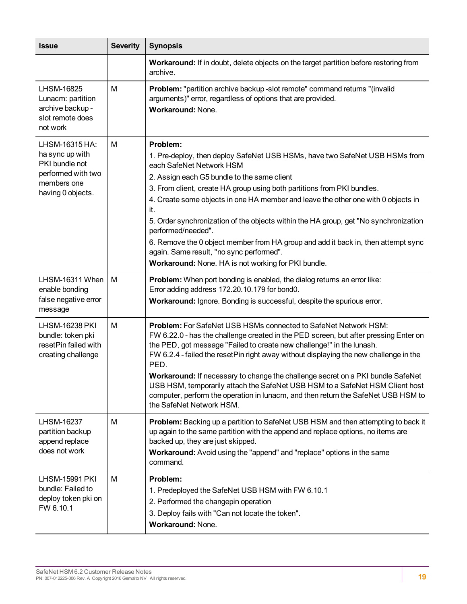| <b>Issue</b>                                                                                                  | <b>Severity</b> | <b>Synopsis</b>                                                                                                                                                                                                                                                                                                                                                                                                                                                                                                                                                                                                                                 |
|---------------------------------------------------------------------------------------------------------------|-----------------|-------------------------------------------------------------------------------------------------------------------------------------------------------------------------------------------------------------------------------------------------------------------------------------------------------------------------------------------------------------------------------------------------------------------------------------------------------------------------------------------------------------------------------------------------------------------------------------------------------------------------------------------------|
|                                                                                                               |                 | Workaround: If in doubt, delete objects on the target partition before restoring from<br>archive.                                                                                                                                                                                                                                                                                                                                                                                                                                                                                                                                               |
| LHSM-16825<br>Lunacm: partition<br>archive backup -<br>slot remote does<br>not work                           | M               | Problem: "partition archive backup - slot remote" command returns "(invalid<br>arguments)" error, regardless of options that are provided.<br>Workaround: None.                                                                                                                                                                                                                                                                                                                                                                                                                                                                                 |
| LHSM-16315 HA:<br>ha sync up with<br>PKI bundle not<br>performed with two<br>members one<br>having 0 objects. | M               | Problem:<br>1. Pre-deploy, then deploy SafeNet USB HSMs, have two SafeNet USB HSMs from<br>each SafeNet Network HSM<br>2. Assign each G5 bundle to the same client<br>3. From client, create HA group using both partitions from PKI bundles.<br>4. Create some objects in one HA member and leave the other one with 0 objects in<br>it.<br>5. Order synchronization of the objects within the HA group, get "No synchronization<br>performed/needed".<br>6. Remove the 0 object member from HA group and add it back in, then attempt sync<br>again. Same result, "no sync performed".<br>Workaround: None. HA is not working for PKI bundle. |
| LHSM-16311 When<br>enable bonding<br>false negative error<br>message                                          | M               | <b>Problem:</b> When port bonding is enabled, the dialog returns an error like:<br>Error adding address 172.20.10.179 for bond0.<br>Workaround: Ignore. Bonding is successful, despite the spurious error.                                                                                                                                                                                                                                                                                                                                                                                                                                      |
| <b>LHSM-16238 PKI</b><br>bundle: token pki<br>resetPin failed with<br>creating challenge                      | M               | Problem: For SafeNet USB HSMs connected to SafeNet Network HSM:<br>FW 6.22.0 - has the challenge created in the PED screen, but after pressing Enter on<br>the PED, got message "Failed to create new challenge!" in the lunash.<br>FW 6.2.4 - failed the resetPin right away without displaying the new challenge in the<br>PED.<br>Workaround: If necessary to change the challenge secret on a PKI bundle SafeNet<br>USB HSM, temporarily attach the SafeNet USB HSM to a SafeNet HSM Client host<br>computer, perform the operation in lunacm, and then return the SafeNet USB HSM to<br>the SafeNet Network HSM.                           |
| LHSM-16237<br>partition backup<br>append replace<br>does not work                                             | M               | <b>Problem:</b> Backing up a partition to SafeNet USB HSM and then attempting to back it<br>up again to the same partition with the append and replace options, no items are<br>backed up, they are just skipped.<br>Workaround: Avoid using the "append" and "replace" options in the same<br>command.                                                                                                                                                                                                                                                                                                                                         |
| <b>LHSM-15991 PKI</b><br>bundle: Failed to<br>deploy token pki on<br>FW 6.10.1                                | M               | Problem:<br>1. Predeployed the SafeNet USB HSM with FW 6.10.1<br>2. Performed the changepin operation<br>3. Deploy fails with "Can not locate the token".<br>Workaround: None.                                                                                                                                                                                                                                                                                                                                                                                                                                                                  |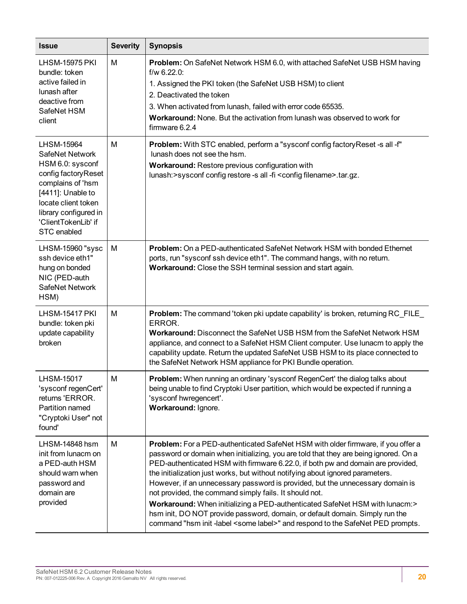| <b>Issue</b>                                                                                                                                                                                             | <b>Severity</b> | <b>Synopsis</b>                                                                                                                                                                                                                                                                                                                                                                                                                                                                                                                                                                                                                                                                                                                                      |
|----------------------------------------------------------------------------------------------------------------------------------------------------------------------------------------------------------|-----------------|------------------------------------------------------------------------------------------------------------------------------------------------------------------------------------------------------------------------------------------------------------------------------------------------------------------------------------------------------------------------------------------------------------------------------------------------------------------------------------------------------------------------------------------------------------------------------------------------------------------------------------------------------------------------------------------------------------------------------------------------------|
| <b>LHSM-15975 PKI</b><br>bundle: token<br>active failed in<br>lunash after<br>deactive from<br>SafeNet HSM<br>client                                                                                     | M               | Problem: On SafeNet Network HSM 6.0, with attached SafeNet USB HSM having<br>$f/w$ 6.22.0:<br>1. Assigned the PKI token (the SafeNet USB HSM) to client<br>2. Deactivated the token<br>3. When activated from lunash, failed with error code 65535.<br>Workaround: None. But the activation from lunash was observed to work for<br>firmware 6.2.4                                                                                                                                                                                                                                                                                                                                                                                                   |
| LHSM-15964<br>SafeNet Network<br>HSM 6.0: sysconf<br>config factoryReset<br>complains of 'hsm<br>[4411]: Unable to<br>locate client token<br>library configured in<br>'ClientTokenLib' if<br>STC enabled | M               | Problem: With STC enabled, perform a "sysconf config factory Reset -s all -f"<br>lunash does not see the hsm.<br>Workaround: Restore previous configuration with<br>lunash: > sysconf config restore -s all -fi < config filename > .tar.gz.                                                                                                                                                                                                                                                                                                                                                                                                                                                                                                         |
| LHSM-15960 "sysc<br>ssh device eth1"<br>hung on bonded<br>NIC (PED-auth<br>SafeNet Network<br>HSM)                                                                                                       | M               | <b>Problem:</b> On a PED-authenticated SafeNet Network HSM with bonded Ethernet<br>ports, run "sysconf ssh device eth1". The command hangs, with no return.<br>Workaround: Close the SSH terminal session and start again.                                                                                                                                                                                                                                                                                                                                                                                                                                                                                                                           |
| <b>LHSM-15417 PKI</b><br>bundle: token pki<br>update capability<br>broken                                                                                                                                | M               | <b>Problem:</b> The command 'token pki update capability' is broken, returning RC_FILE_<br>ERROR.<br>Workaround: Disconnect the SafeNet USB HSM from the SafeNet Network HSM<br>appliance, and connect to a SafeNet HSM Client computer. Use lunacm to apply the<br>capability update. Return the updated SafeNet USB HSM to its place connected to<br>the SafeNet Network HSM appliance for PKI Bundle operation.                                                                                                                                                                                                                                                                                                                                   |
| <b>LHSM-15017</b><br>'sysconf regenCert'<br>returns 'ERROR.<br>Partition named<br>"Cryptoki User" not<br>found'                                                                                          | M               | <b>Problem:</b> When running an ordinary 'sysconf RegenCert' the dialog talks about<br>being unable to find Cryptoki User partition, which would be expected if running a<br>'sysconf hwregencert'.<br>Workaround: Ignore.                                                                                                                                                                                                                                                                                                                                                                                                                                                                                                                           |
| LHSM-14848 hsm<br>init from lunacm on<br>a PED-auth HSM<br>should warn when<br>password and<br>domain are<br>provided                                                                                    | М               | Problem: For a PED-authenticated SafeNet HSM with older firmware, if you offer a<br>password or domain when initializing, you are told that they are being ignored. On a<br>PED-authenticated HSM with firmware 6.22.0, if both pw and domain are provided,<br>the initialization just works, but without notifying about ignored parameters.<br>However, if an unnecessary password is provided, but the unnecessary domain is<br>not provided, the command simply fails. It should not.<br>Workaround: When initializing a PED-authenticated SafeNet HSM with lunacm:><br>hsm init, DO NOT provide password, domain, or default domain. Simply run the<br>command "hsm init -label <some label="">" and respond to the SafeNet PED prompts.</some> |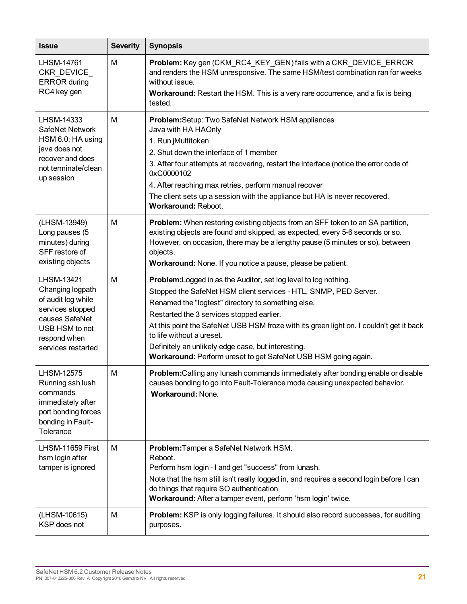| <b>Issue</b>                                                                                                                                       | <b>Severity</b> | <b>Synopsis</b>                                                                                                                                                                                                                                                                                                                                                                                                                                                                                |
|----------------------------------------------------------------------------------------------------------------------------------------------------|-----------------|------------------------------------------------------------------------------------------------------------------------------------------------------------------------------------------------------------------------------------------------------------------------------------------------------------------------------------------------------------------------------------------------------------------------------------------------------------------------------------------------|
| LHSM-14761<br>CKR_DEVICE_<br><b>ERROR</b> during<br>RC4 key gen                                                                                    | M               | Problem: Key gen (CKM_RC4_KEY_GEN) fails with a CKR_DEVICE_ERROR<br>and renders the HSM unresponsive. The same HSM/test combination ran for weeks<br>without issue.<br>Workaround: Restart the HSM. This is a very rare occurrence, and a fix is being                                                                                                                                                                                                                                         |
|                                                                                                                                                    |                 | tested.                                                                                                                                                                                                                                                                                                                                                                                                                                                                                        |
| LHSM-14333<br>SafeNet Network<br>HSM 6.0: HA using<br>java does not<br>recover and does<br>not terminate/clean<br>up session                       | М               | Problem: Setup: Two SafeNet Network HSM appliances<br>Java with HA HAOnly<br>1. Run jMultitoken<br>2. Shut down the interface of 1 member<br>3. After four attempts at recovering, restart the interface (notice the error code of<br>0xC0000102<br>4. After reaching max retries, perform manual recover<br>The client sets up a session with the appliance but HA is never recovered.<br>Workaround: Reboot.                                                                                 |
| (LHSM-13949)<br>Long pauses (5<br>minutes) during<br>SFF restore of<br>existing objects                                                            | M               | Problem: When restoring existing objects from an SFF token to an SA partition,<br>existing objects are found and skipped, as expected, every 5-6 seconds or so.<br>However, on occasion, there may be a lengthy pause (5 minutes or so), between<br>objects.<br>Workaround: None. If you notice a pause, please be patient.                                                                                                                                                                    |
| LHSM-13421<br>Changing logpath<br>of audit log while<br>services stopped<br>causes SafeNet<br>USB HSM to not<br>respond when<br>services restarted | M               | <b>Problem:</b> Logged in as the Auditor, set log level to log nothing.<br>Stopped the SafeNet HSM client services - HTL, SNMP, PED Server.<br>Renamed the "logtest" directory to something else.<br>Restarted the 3 services stopped earlier.<br>At this point the SafeNet USB HSM froze with its green light on. I couldn't get it back<br>to life without a ureset.<br>Definitely an unlikely edge case, but interesting.<br>Workaround: Perform ureset to get SafeNet USB HSM going again. |
| <b>LHSM-12575</b><br>Running ssh lush<br>commands<br>immediately after<br>port bonding forces<br>bonding in Fault-<br>Tolerance                    | M               | Problem: Calling any lunash commands immediately after bonding enable or disable<br>causes bonding to go into Fault-Tolerance mode causing unexpected behavior.<br><b>Workaround: None.</b>                                                                                                                                                                                                                                                                                                    |
| LHSM-11659 First<br>hsm login after<br>tamper is ignored                                                                                           | м               | Problem: Tamper a SafeNet Network HSM.<br>Reboot.<br>Perform hsm login - I and get "success" from lunash.<br>Note that the hsm still isn't really logged in, and requires a second login before I can<br>do things that require SO authentication.<br>Workaround: After a tamper event, perform 'hsm login' twice.                                                                                                                                                                             |
| (LHSM-10615)<br>KSP does not                                                                                                                       | М               | Problem: KSP is only logging failures. It should also record successes, for auditing<br>purposes.                                                                                                                                                                                                                                                                                                                                                                                              |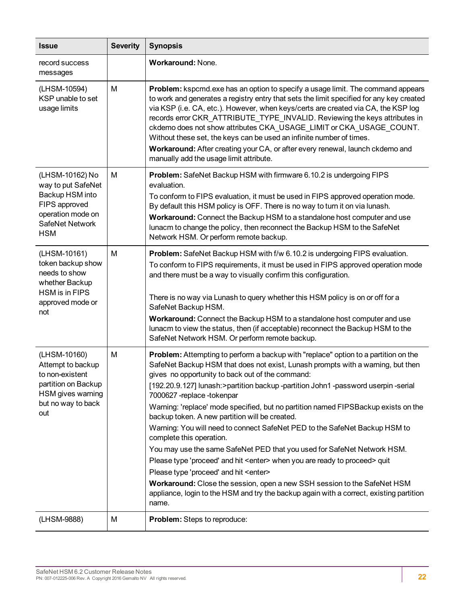| <b>Issue</b>                                                                                                                    | <b>Severity</b> | <b>Synopsis</b>                                                                                                                                                                                                                                                                                                                                                                                                                                                                                                                                                                                                                                                                                                                                                                                                                                                                                                                                                                                        |
|---------------------------------------------------------------------------------------------------------------------------------|-----------------|--------------------------------------------------------------------------------------------------------------------------------------------------------------------------------------------------------------------------------------------------------------------------------------------------------------------------------------------------------------------------------------------------------------------------------------------------------------------------------------------------------------------------------------------------------------------------------------------------------------------------------------------------------------------------------------------------------------------------------------------------------------------------------------------------------------------------------------------------------------------------------------------------------------------------------------------------------------------------------------------------------|
| record success<br>messages                                                                                                      |                 | Workaround: None.                                                                                                                                                                                                                                                                                                                                                                                                                                                                                                                                                                                                                                                                                                                                                                                                                                                                                                                                                                                      |
| (LHSM-10594)<br>KSP unable to set<br>usage limits                                                                               | M               | Problem: kspcmd.exe has an option to specify a usage limit. The command appears<br>to work and generates a registry entry that sets the limit specified for any key created<br>via KSP (i.e. CA, etc.). However, when keys/certs are created via CA, the KSP log<br>records error CKR_ATTRIBUTE_TYPE_INVALID. Reviewing the keys attributes in<br>ckdemo does not show attributes CKA_USAGE_LIMIT or CKA_USAGE_COUNT.<br>Without these set, the keys can be used an infinite number of times.<br>Workaround: After creating your CA, or after every renewal, launch ckdemo and<br>manually add the usage limit attribute.                                                                                                                                                                                                                                                                                                                                                                              |
| (LHSM-10162) No<br>way to put SafeNet<br>Backup HSM into<br>FIPS approved<br>operation mode on<br>SafeNet Network<br><b>HSM</b> | M               | Problem: SafeNet Backup HSM with firmware 6.10.2 is undergoing FIPS<br>evaluation.<br>To conform to FIPS evaluation, it must be used in FIPS approved operation mode.<br>By default this HSM policy is OFF. There is no way to turn it on via lunash.<br>Workaround: Connect the Backup HSM to a standalone host computer and use<br>lunacm to change the policy, then reconnect the Backup HSM to the SafeNet<br>Network HSM. Or perform remote backup.                                                                                                                                                                                                                                                                                                                                                                                                                                                                                                                                               |
| (LHSM-10161)<br>token backup show<br>needs to show<br>whether Backup<br><b>HSM</b> is in FIPS<br>approved mode or<br>not        | M               | Problem: SafeNet Backup HSM with f/w 6.10.2 is undergoing FIPS evaluation.<br>To conform to FIPS requirements, it must be used in FIPS approved operation mode<br>and there must be a way to visually confirm this configuration.<br>There is no way via Lunash to query whether this HSM policy is on or off for a<br>SafeNet Backup HSM.<br>Workaround: Connect the Backup HSM to a standalone host computer and use<br>lunacm to view the status, then (if acceptable) reconnect the Backup HSM to the<br>SafeNet Network HSM. Or perform remote backup.                                                                                                                                                                                                                                                                                                                                                                                                                                            |
| (LHSM-10160)<br>Attempt to backup<br>to non-existent<br>partition on Backup<br>HSM gives warning<br>but no way to back<br>out   | M               | Problem: Attempting to perform a backup with "replace" option to a partition on the<br>SafeNet Backup HSM that does not exist, Lunash prompts with a warning, but then<br>gives no opportunity to back out of the command:<br>[192.20.9.127] lunash:>partition backup -partition John1 -password userpin -serial<br>7000627-replace-tokenpar<br>Warning: 'replace' mode specified, but no partition named FIPSBackup exists on the<br>backup token. A new partition will be created.<br>Warning: You will need to connect SafeNet PED to the SafeNet Backup HSM to<br>complete this operation.<br>You may use the same SafeNet PED that you used for SafeNet Network HSM.<br>Please type 'proceed' and hit <enter> when you are ready to proceed&gt; quit<br/>Please type 'proceed' and hit <enter><br/>Workaround: Close the session, open a new SSH session to the SafeNet HSM<br/>appliance, login to the HSM and try the backup again with a correct, existing partition<br/>name.</enter></enter> |
| (LHSM-9888)                                                                                                                     | M               | Problem: Steps to reproduce:                                                                                                                                                                                                                                                                                                                                                                                                                                                                                                                                                                                                                                                                                                                                                                                                                                                                                                                                                                           |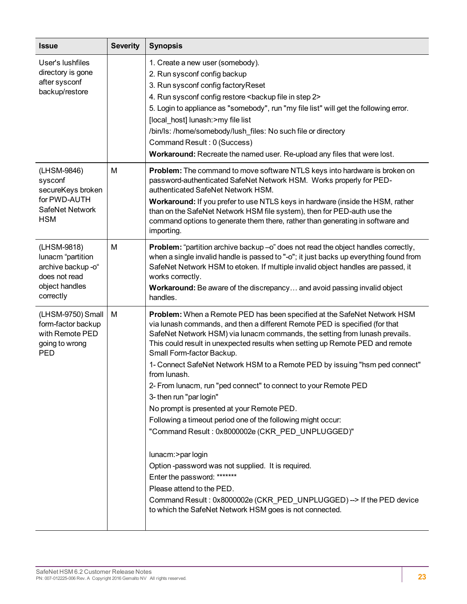| <b>Issue</b>                                                                                           | <b>Severity</b> | <b>Synopsis</b>                                                                                                                                                                                                                                                                                                                                                                                                                                                                                                                                                                                                                                                                                                                                                                                                                                                                                                                                                                              |
|--------------------------------------------------------------------------------------------------------|-----------------|----------------------------------------------------------------------------------------------------------------------------------------------------------------------------------------------------------------------------------------------------------------------------------------------------------------------------------------------------------------------------------------------------------------------------------------------------------------------------------------------------------------------------------------------------------------------------------------------------------------------------------------------------------------------------------------------------------------------------------------------------------------------------------------------------------------------------------------------------------------------------------------------------------------------------------------------------------------------------------------------|
| User's lushfiles<br>directory is gone<br>after sysconf<br>backup/restore                               |                 | 1. Create a new user (somebody).<br>2. Run sysconf config backup<br>3. Run sysconf config factory Reset<br>4. Run sysconf config restore <backup 2="" file="" in="" step=""><br/>5. Login to appliance as "somebody", run "my file list" will get the following error.<br/>[local host] lunash:&gt;my file list<br/>/bin/ls: /home/somebody/lush_files: No such file or directory<br/>Command Result: 0 (Success)<br/>Workaround: Recreate the named user. Re-upload any files that were lost.</backup>                                                                                                                                                                                                                                                                                                                                                                                                                                                                                      |
| (LHSM-9846)<br>sysconf<br>secureKeys broken<br>for PWD-AUTH<br>SafeNet Network<br><b>HSM</b>           | M               | Problem: The command to move software NTLS keys into hardware is broken on<br>password-authenticated SafeNet Network HSM. Works properly for PED-<br>authenticated SafeNet Network HSM.<br>Workaround: If you prefer to use NTLS keys in hardware (inside the HSM, rather<br>than on the SafeNet Network HSM file system), then for PED-auth use the<br>command options to generate them there, rather than generating in software and<br>importing.                                                                                                                                                                                                                                                                                                                                                                                                                                                                                                                                         |
| (LHSM-9818)<br>lunacm "partition<br>archive backup -o"<br>does not read<br>object handles<br>correctly | M               | Problem: "partition archive backup -o" does not read the object handles correctly,<br>when a single invalid handle is passed to "-o"; it just backs up everything found from<br>SafeNet Network HSM to etoken. If multiple invalid object handles are passed, it<br>works correctly.<br>Workaround: Be aware of the discrepancy and avoid passing invalid object<br>handles.                                                                                                                                                                                                                                                                                                                                                                                                                                                                                                                                                                                                                 |
| (LHSM-9750) Small<br>form-factor backup<br>with Remote PED<br>going to wrong<br>PED                    | M               | Problem: When a Remote PED has been specified at the SafeNet Network HSM<br>via lunash commands, and then a different Remote PED is specified (for that<br>SafeNet Network HSM) via lunacm commands, the setting from lunash prevails.<br>This could result in unexpected results when setting up Remote PED and remote<br>Small Form-factor Backup.<br>1- Connect SafeNet Network HSM to a Remote PED by issuing "hsm ped connect"<br>from lunash.<br>2- From lunacm, run "ped connect" to connect to your Remote PED<br>3- then run "par login"<br>No prompt is presented at your Remote PED.<br>Following a timeout period one of the following might occur:<br>"Command Result: 0x8000002e (CKR_PED_UNPLUGGED)"<br>lunacm:>par login<br>Option-password was not supplied. It is required.<br>Enter the password: *******<br>Please attend to the PED.<br>Command Result: 0x8000002e (CKR_PED_UNPLUGGED) --> If the PED device<br>to which the SafeNet Network HSM goes is not connected. |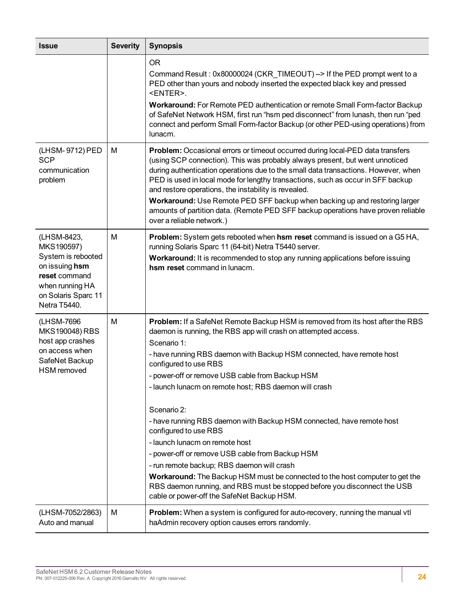| <b>Issue</b>                                                                                                                                 | <b>Severity</b> | <b>Synopsis</b>                                                                                                                                                                                                                                                                                                                                                                                                                                                                                                                                                                                                                                                                                                                                                                                                                                     |
|----------------------------------------------------------------------------------------------------------------------------------------------|-----------------|-----------------------------------------------------------------------------------------------------------------------------------------------------------------------------------------------------------------------------------------------------------------------------------------------------------------------------------------------------------------------------------------------------------------------------------------------------------------------------------------------------------------------------------------------------------------------------------------------------------------------------------------------------------------------------------------------------------------------------------------------------------------------------------------------------------------------------------------------------|
|                                                                                                                                              |                 | <b>OR</b><br>Command Result: 0x80000024 (CKR_TIMEOUT) --> If the PED prompt went to a<br>PED other than yours and nobody inserted the expected black key and pressed<br><enter>.<br/>Workaround: For Remote PED authentication or remote Small Form-factor Backup<br/>of SafeNet Network HSM, first run "hsm ped disconnect" from lunash, then run "ped<br/>connect and perform Small Form-factor Backup (or other PED-using operations) from<br/>lunacm.</enter>                                                                                                                                                                                                                                                                                                                                                                                   |
| (LHSM-9712) PED<br><b>SCP</b><br>communication<br>problem                                                                                    | М               | Problem: Occasional errors or timeout occurred during local-PED data transfers<br>(using SCP connection). This was probably always present, but went unnoticed<br>during authentication operations due to the small data transactions. However, when<br>PED is used in local mode for lengthy transactions, such as occur in SFF backup<br>and restore operations, the instability is revealed.<br>Workaround: Use Remote PED SFF backup when backing up and restoring larger<br>amounts of partition data. (Remote PED SFF backup operations have proven reliable<br>over a reliable network.)                                                                                                                                                                                                                                                     |
| (LHSM-8423,<br>MKS190597)<br>System is rebooted<br>on issuing hsm<br>reset command<br>when running HA<br>on Solaris Sparc 11<br>Netra T5440. | M               | <b>Problem:</b> System gets rebooted when <b>hsm reset</b> command is issued on a G5 HA,<br>running Solaris Sparc 11 (64-bit) Netra T5440 server.<br>Workaround: It is recommended to stop any running applications before issuing<br>hsm reset command in lunacm.                                                                                                                                                                                                                                                                                                                                                                                                                                                                                                                                                                                  |
| (LHSM-7696<br>MKS190048) RBS<br>host app crashes<br>on access when<br>SafeNet Backup<br><b>HSM</b> removed                                   | М               | Problem: If a SafeNet Remote Backup HSM is removed from its host after the RBS<br>daemon is running, the RBS app will crash on attempted access.<br>Scenario 1:<br>- have running RBS daemon with Backup HSM connected, have remote host<br>configured to use RBS<br>- power-off or remove USB cable from Backup HSM<br>- launch lunacm on remote host; RBS daemon will crash<br>Scenario 2:<br>- have running RBS daemon with Backup HSM connected, have remote host<br>configured to use RBS<br>- launch lunacm on remote host<br>- power-off or remove USB cable from Backup HSM<br>- run remote backup; RBS daemon will crash<br><b>Workaround:</b> The Backup HSM must be connected to the host computer to get the<br>RBS daemon running, and RBS must be stopped before you disconnect the USB<br>cable or power-off the SafeNet Backup HSM. |
| (LHSM-7052/2863)<br>Auto and manual                                                                                                          | M               | Problem: When a system is configured for auto-recovery, running the manual vtl<br>haAdmin recovery option causes errors randomly.                                                                                                                                                                                                                                                                                                                                                                                                                                                                                                                                                                                                                                                                                                                   |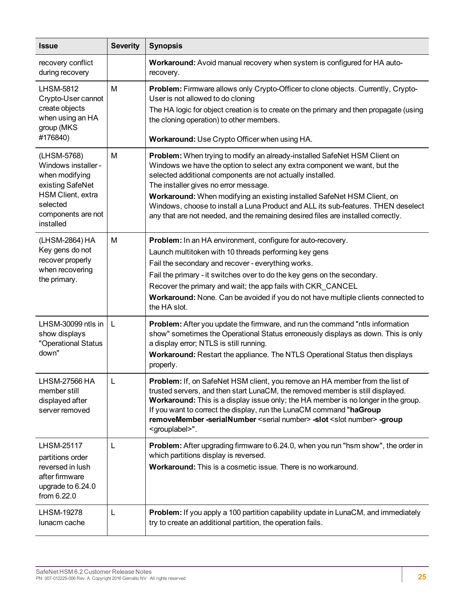| <b>Issue</b>                                                                                                                                 | <b>Severity</b> | <b>Synopsis</b>                                                                                                                                                                                                                                                                                                                                                                                                                                                                                                    |  |  |
|----------------------------------------------------------------------------------------------------------------------------------------------|-----------------|--------------------------------------------------------------------------------------------------------------------------------------------------------------------------------------------------------------------------------------------------------------------------------------------------------------------------------------------------------------------------------------------------------------------------------------------------------------------------------------------------------------------|--|--|
| recovery conflict<br>during recovery                                                                                                         |                 | Workaround: Avoid manual recovery when system is configured for HA auto-<br>recovery.                                                                                                                                                                                                                                                                                                                                                                                                                              |  |  |
| <b>LHSM-5812</b><br>Crypto-User cannot<br>create objects<br>when using an HA<br>group (MKS)<br>#176840)                                      | M               | Problem: Firmware allows only Crypto-Officer to clone objects. Currently, Crypto-<br>User is not allowed to do cloning<br>The HA logic for object creation is to create on the primary and then propagate (using<br>the cloning operation) to other members.<br>Workaround: Use Crypto Officer when using HA.                                                                                                                                                                                                      |  |  |
| (LHSM-5768)<br>Windows installer -<br>when modifying<br>existing SafeNet<br>HSM Client, extra<br>selected<br>components are not<br>installed | M               | Problem: When trying to modify an already-installed SafeNet HSM Client on<br>Windows we have the option to select any extra component we want, but the<br>selected additional components are not actually installed.<br>The installer gives no error message.<br>Workaround: When modifying an existing installed SafeNet HSM Client, on<br>Windows, choose to install a Luna Product and ALL its sub-features. THEN deselect<br>any that are not needed, and the remaining desired files are installed correctly. |  |  |
| (LHSM-2864) HA<br>Key gens do not<br>recover properly<br>when recovering<br>the primary.                                                     | M               | Problem: In an HA environment, configure for auto-recovery.<br>Launch multitoken with 10 threads performing key gens<br>Fail the secondary and recover - everything works.<br>Fail the primary - it switches over to do the key gens on the secondary.<br>Recover the primary and wait; the app fails with CKR_CANCEL<br>Workaround: None. Can be avoided if you do not have multiple clients connected to<br>the HA slot.                                                                                         |  |  |
| LHSM-30099 ntls in<br>show displays<br>"Operational Status<br>down"                                                                          | L               | Problem: After you update the firmware, and run the command "ntls information<br>show" sometimes the Operational Status erroneously displays as down. This is only<br>a display error; NTLS is still running.<br>Workaround: Restart the appliance. The NTLS Operational Status then displays<br>properly.                                                                                                                                                                                                         |  |  |
| LHSM-27566 HA<br>member still<br>displayed after<br>server removed                                                                           |                 | Problem: If, on SafeNet HSM client, you remove an HA member from the list of<br>trusted servers, and then start LunaCM, the removed member is still displayed.<br>Workaround: This is a display issue only; the HA member is no longer in the group.<br>If you want to correct the display, run the LunaCM command "haGroup<br>removeMember -serialNumber <serial number=""> -slot <slot number=""> -group<br/><grouplabel>".</grouplabel></slot></serial>                                                         |  |  |
| <b>LHSM-25117</b><br>partitions order<br>reversed in lush<br>after firmware<br>upgrade to 6.24.0<br>from 6.22.0                              | L               | Problem: After upgrading firmware to 6.24.0, when you run "hsm show", the order in<br>which partitions display is reversed.<br>Workaround: This is a cosmetic issue. There is no workaround.                                                                                                                                                                                                                                                                                                                       |  |  |
| LHSM-19278<br>lunacm cache                                                                                                                   | L               | Problem: If you apply a 100 partition capability update in LunaCM, and immediately<br>try to create an additional partition, the operation fails.                                                                                                                                                                                                                                                                                                                                                                  |  |  |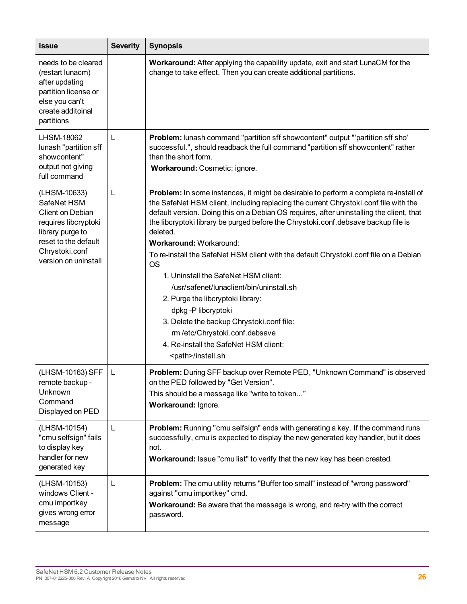| <b>Issue</b>                                                                                                                                                  | <b>Severity</b> | <b>Synopsis</b>                                                                                                                                                                                                                                                                                                                                                                                                                                                                                                                                                                                                                                                                                                                                                                                                        |  |
|---------------------------------------------------------------------------------------------------------------------------------------------------------------|-----------------|------------------------------------------------------------------------------------------------------------------------------------------------------------------------------------------------------------------------------------------------------------------------------------------------------------------------------------------------------------------------------------------------------------------------------------------------------------------------------------------------------------------------------------------------------------------------------------------------------------------------------------------------------------------------------------------------------------------------------------------------------------------------------------------------------------------------|--|
| needs to be cleared<br>(restart lunacm)<br>after updating<br>partition license or<br>else you can't<br>create additoinal<br>partitions                        |                 | Workaround: After applying the capability update, exit and start LunaCM for the<br>change to take effect. Then you can create additional partitions.                                                                                                                                                                                                                                                                                                                                                                                                                                                                                                                                                                                                                                                                   |  |
| <b>LHSM-18062</b><br>lunash "partition sff<br>showcontent"<br>output not giving<br>full command                                                               | L               | Problem: lunash command "partition sff showcontent" output "'partition sff sho'<br>successful.", should readback the full command "partition sff showcontent" rather<br>than the short form.<br>Workaround: Cosmetic; ignore.                                                                                                                                                                                                                                                                                                                                                                                                                                                                                                                                                                                          |  |
| (LHSM-10633)<br>SafeNet HSM<br>Client on Debian<br>requires libcryptoki<br>library purge to<br>reset to the default<br>Chrystoki.conf<br>version on uninstall | L               | <b>Problem:</b> In some instances, it might be desirable to perform a complete re-install of<br>the SafeNet HSM client, including replacing the current Chrystoki.conf file with the<br>default version. Doing this on a Debian OS requires, after uninstalling the client, that<br>the libcryptoki library be purged before the Chrystoki.conf.debsave backup file is<br>deleted.<br>Workaround: Workaround:<br>To re-install the SafeNet HSM client with the default Chrystoki.conf file on a Debian<br><b>OS</b><br>1. Uninstall the SafeNet HSM client:<br>/usr/safenet/lunaclient/bin/uninstall.sh<br>2. Purge the libcryptoki library:<br>dpkg-P libcryptoki<br>3. Delete the backup Chrystoki.conf file:<br>rm /etc/Chrystoki.conf.debsave<br>4. Re-install the SafeNet HSM client:<br><path>/install.sh</path> |  |
| (LHSM-10163) SFF<br>remote backup -<br>Unknown<br>Command<br>Displayed on PED                                                                                 | L               | Problem: During SFF backup over Remote PED, "Unknown Command" is observed<br>on the PED followed by "Get Version".<br>This should be a message like "write to token"<br>Workaround: Ignore.                                                                                                                                                                                                                                                                                                                                                                                                                                                                                                                                                                                                                            |  |
| (LHSM-10154)<br>"cmu selfsign" fails<br>to display key<br>handler for new<br>generated key                                                                    | L               | Problem: Running "cmu selfsign" ends with generating a key. If the command runs<br>successfully, cmu is expected to display the new generated key handler, but it does<br>not.<br>Workaround: Issue "cmu list" to verify that the new key has been created.                                                                                                                                                                                                                                                                                                                                                                                                                                                                                                                                                            |  |
| (LHSM-10153)<br>windows Client -<br>cmu importkey<br>gives wrong error<br>message                                                                             | L               | Problem: The cmu utility returns "Buffer too small" instead of "wrong password"<br>against "cmu importkey" cmd.<br>Workaround: Be aware that the message is wrong, and re-try with the correct<br>password.                                                                                                                                                                                                                                                                                                                                                                                                                                                                                                                                                                                                            |  |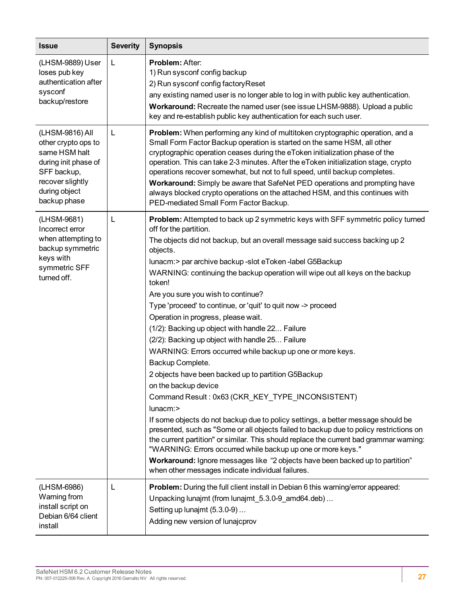| <b>Issue</b>                                                                                                                                        | <b>Severity</b> | <b>Synopsis</b>                                                                                                                                                                                                                                                                                                                                                                                                                                                                                                                                                                                                                                                                                                                                                                                                                                                                                                                                                                                                                                                                                                                                                                                                                                                                                                                        |  |  |
|-----------------------------------------------------------------------------------------------------------------------------------------------------|-----------------|----------------------------------------------------------------------------------------------------------------------------------------------------------------------------------------------------------------------------------------------------------------------------------------------------------------------------------------------------------------------------------------------------------------------------------------------------------------------------------------------------------------------------------------------------------------------------------------------------------------------------------------------------------------------------------------------------------------------------------------------------------------------------------------------------------------------------------------------------------------------------------------------------------------------------------------------------------------------------------------------------------------------------------------------------------------------------------------------------------------------------------------------------------------------------------------------------------------------------------------------------------------------------------------------------------------------------------------|--|--|
| (LHSM-9889) User<br>loses pub key<br>authentication after<br>sysconf<br>backup/restore                                                              | L               | Problem: After:<br>1) Run sysconf config backup<br>2) Run sysconf config factory Reset<br>any existing named user is no longer able to log in with public key authentication.<br>Workaround: Recreate the named user (see issue LHSM-9888). Upload a public<br>key and re-establish public key authentication for each such user.                                                                                                                                                                                                                                                                                                                                                                                                                                                                                                                                                                                                                                                                                                                                                                                                                                                                                                                                                                                                      |  |  |
| (LHSM-9816) All<br>other crypto ops to<br>same HSM halt<br>during init phase of<br>SFF backup,<br>recover slightly<br>during object<br>backup phase | L               | Problem: When performing any kind of multitoken cryptographic operation, and a<br>Small Form Factor Backup operation is started on the same HSM, all other<br>cryptographic operation ceases during the eToken initialization phase of the<br>operation. This can take 2-3 minutes. After the eToken initialization stage, crypto<br>operations recover somewhat, but not to full speed, until backup completes.<br>Workaround: Simply be aware that SafeNet PED operations and prompting have<br>always blocked crypto operations on the attached HSM, and this continues with<br>PED-mediated Small Form Factor Backup.                                                                                                                                                                                                                                                                                                                                                                                                                                                                                                                                                                                                                                                                                                              |  |  |
| (LHSM-9681)<br>Incorrect error<br>when attempting to<br>backup symmetric<br>keys with<br>symmetric SFF<br>turned off.                               | L               | <b>Problem:</b> Attempted to back up 2 symmetric keys with SFF symmetric policy turned<br>off for the partition.<br>The objects did not backup, but an overall message said success backing up 2<br>objects.<br>lunacm:> par archive backup -slot eToken -label G5Backup<br>WARNING: continuing the backup operation will wipe out all keys on the backup<br>token!<br>Are you sure you wish to continue?<br>Type 'proceed' to continue, or 'quit' to quit now -> proceed<br>Operation in progress, please wait.<br>(1/2): Backing up object with handle 22 Failure<br>(2/2): Backing up object with handle 25 Failure<br>WARNING: Errors occurred while backup up one or more keys.<br>Backup Complete.<br>2 objects have been backed up to partition G5Backup<br>on the backup device<br>Command Result: 0x63 (CKR_KEY_TYPE_INCONSISTENT)<br>lunacm:><br>If some objects do not backup due to policy settings, a better message should be<br>presented, such as "Some or all objects failed to backup due to policy restrictions on<br>the current partition" or similar. This should replace the current bad grammar warning:<br>"WARNING: Errors occurred while backup up one or more keys."<br>Workaround: Ignore messages like "2 objects have been backed up to partition"<br>when other messages indicate individual failures. |  |  |
| (LHSM-6986)<br>Warning from<br>install script on<br>Debian 6/64 client<br>install                                                                   | L               | Problem: During the full client install in Debian 6 this warning/error appeared:<br>Unpacking lunajmt (from lunajmt_5.3.0-9_amd64.deb)<br>Setting up lunajmt (5.3.0-9)<br>Adding new version of lunajcprov                                                                                                                                                                                                                                                                                                                                                                                                                                                                                                                                                                                                                                                                                                                                                                                                                                                                                                                                                                                                                                                                                                                             |  |  |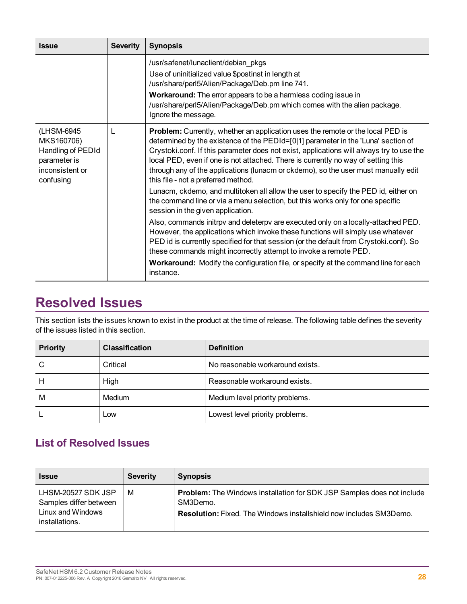| <b>Issue</b>                                                                                  | <b>Severity</b> | <b>Synopsis</b>                                                                                                                                                                                                                                                                                                                                                                                                                                                                          |  |
|-----------------------------------------------------------------------------------------------|-----------------|------------------------------------------------------------------------------------------------------------------------------------------------------------------------------------------------------------------------------------------------------------------------------------------------------------------------------------------------------------------------------------------------------------------------------------------------------------------------------------------|--|
|                                                                                               |                 | /usr/safenet/lunaclient/debian_pkgs<br>Use of uninitialized value \$postinst in length at<br>/usr/share/perl5/Alien/Package/Deb.pm line 741.<br>Workaround: The error appears to be a harmless coding issue in<br>/usr/share/perl5/Alien/Package/Deb.pm which comes with the alien package.<br>Ignore the message.                                                                                                                                                                       |  |
| (LHSM-6945<br>MKS160706)<br>Handling of PEDId<br>parameter is<br>inconsistent or<br>confusing | L               | <b>Problem:</b> Currently, whether an application uses the remote or the local PED is<br>determined by the existence of the PEDId=[0 1] parameter in the 'Luna' section of<br>Crystoki.conf. If this parameter does not exist, applications will always try to use the<br>local PED, even if one is not attached. There is currently no way of setting this<br>through any of the applications (lunacm or ckdemo), so the user must manually edit<br>this file - not a preferred method. |  |
|                                                                                               |                 | Lunacm, ckdemo, and multitoken all allow the user to specify the PED id, either on<br>the command line or via a menu selection, but this works only for one specific<br>session in the given application.                                                                                                                                                                                                                                                                                |  |
|                                                                                               |                 | Also, commands initrpv and deleterpv are executed only on a locally-attached PED.<br>However, the applications which invoke these functions will simply use whatever<br>PED id is currently specified for that session (or the default from Crystoki.conf). So<br>these commands might incorrectly attempt to invoke a remote PED.                                                                                                                                                       |  |
|                                                                                               |                 | Workaround: Modify the configuration file, or specify at the command line for each<br>instance.                                                                                                                                                                                                                                                                                                                                                                                          |  |

### <span id="page-27-0"></span>**Resolved Issues**

This section lists the issues known to exist in the product at the time of release. The following table defines the severity of the issues listed in this section.

| <b>Priority</b> | <b>Classification</b> | <b>Definition</b>                |
|-----------------|-----------------------|----------------------------------|
| C               | Critical              | No reasonable workaround exists. |
| Н               | High                  | Reasonable workaround exists.    |
| M               | Medium                | Medium level priority problems.  |
|                 | Low                   | Lowest level priority problems.  |

### <span id="page-27-1"></span>**List of Resolved Issues**

| <b>Issue</b>                                                                        | <b>Severity</b> | <b>Synopsis</b>                                                                                                                                                        |
|-------------------------------------------------------------------------------------|-----------------|------------------------------------------------------------------------------------------------------------------------------------------------------------------------|
| LHSM-20527 SDK JSP<br>Samples differ between<br>Linux and Windows<br>installations. | M               | <b>Problem:</b> The Windows installation for SDK JSP Samples does not include<br>SM3Demo.<br><b>Resolution:</b> Fixed. The Windows installshield now includes SM3Demo. |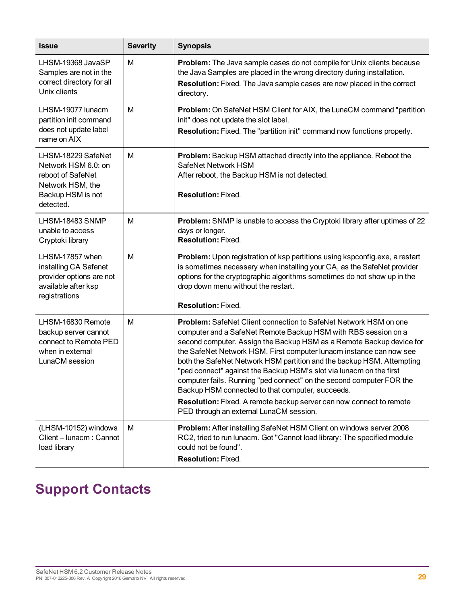| <b>Issue</b>                                                                                                         | <b>Severity</b> | <b>Synopsis</b>                                                                                                                                                                                                                                                                                                                                                                                                                                                                                                                                                                                                                                                                        |  |
|----------------------------------------------------------------------------------------------------------------------|-----------------|----------------------------------------------------------------------------------------------------------------------------------------------------------------------------------------------------------------------------------------------------------------------------------------------------------------------------------------------------------------------------------------------------------------------------------------------------------------------------------------------------------------------------------------------------------------------------------------------------------------------------------------------------------------------------------------|--|
| LHSM-19368 JavaSP<br>Samples are not in the<br>correct directory for all<br>Unix clients                             | M               | Problem: The Java sample cases do not compile for Unix clients because<br>the Java Samples are placed in the wrong directory during installation.<br>Resolution: Fixed. The Java sample cases are now placed in the correct<br>directory.                                                                                                                                                                                                                                                                                                                                                                                                                                              |  |
| LHSM-19077 lunacm<br>partition init command<br>does not update label<br>name on AIX                                  | M               | Problem: On SafeNet HSM Client for AIX, the LunaCM command "partition<br>init" does not update the slot label.<br>Resolution: Fixed. The "partition init" command now functions properly.                                                                                                                                                                                                                                                                                                                                                                                                                                                                                              |  |
| LHSM-18229 SafeNet<br>Network HSM 6.0: on<br>reboot of SafeNet<br>Network HSM, the<br>Backup HSM is not<br>detected. | M               | Problem: Backup HSM attached directly into the appliance. Reboot the<br>SafeNet Network HSM<br>After reboot, the Backup HSM is not detected.<br><b>Resolution: Fixed.</b>                                                                                                                                                                                                                                                                                                                                                                                                                                                                                                              |  |
| LHSM-18483 SNMP<br>unable to access<br>Cryptoki library                                                              | M               | Problem: SNMP is unable to access the Cryptoki library after uptimes of 22<br>days or longer.<br><b>Resolution: Fixed.</b>                                                                                                                                                                                                                                                                                                                                                                                                                                                                                                                                                             |  |
| LHSM-17857 when<br>installing CA Safenet<br>provider options are not<br>available after ksp<br>registrations         | M               | Problem: Upon registration of ksp partitions using kspconfig.exe, a restart<br>is sometimes necessary when installing your CA, as the SafeNet provider<br>options for the cryptographic algorithms sometimes do not show up in the<br>drop down menu without the restart.<br><b>Resolution: Fixed.</b>                                                                                                                                                                                                                                                                                                                                                                                 |  |
| LHSM-16830 Remote<br>backup server cannot<br>connect to Remote PED<br>when in external<br>LunaCM session             | M               | <b>Problem:</b> SafeNet Client connection to SafeNet Network HSM on one<br>computer and a SafeNet Remote Backup HSM with RBS session on a<br>second computer. Assign the Backup HSM as a Remote Backup device for<br>the SafeNet Network HSM. First computer lunacm instance can now see<br>both the SafeNet Network HSM partition and the backup HSM. Attempting<br>"ped connect" against the Backup HSM's slot via lunacm on the first<br>computer fails. Running "ped connect" on the second computer FOR the<br>Backup HSM connected to that computer, succeeds.<br>Resolution: Fixed. A remote backup server can now connect to remote<br>PED through an external LunaCM session. |  |
| (LHSM-10152) windows<br>Client - lunacm: Cannot<br>load library                                                      | M               | Problem: After installing SafeNet HSM Client on windows server 2008<br>RC2, tried to run lunacm. Got "Cannot load library: The specified module<br>could not be found".<br>Resolution: Fixed.                                                                                                                                                                                                                                                                                                                                                                                                                                                                                          |  |

## <span id="page-28-0"></span>**Support Contacts**